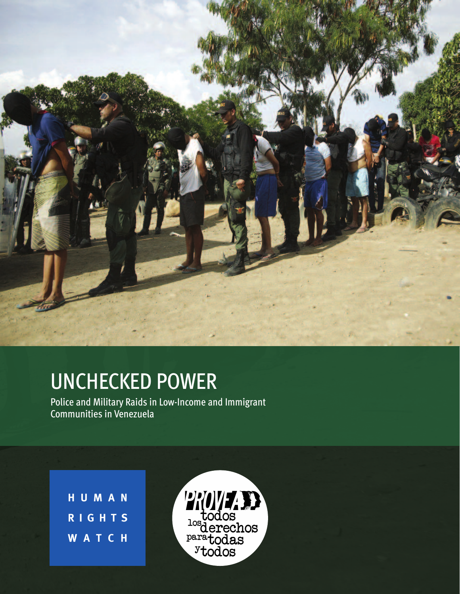

# UNCHECKED POWER

Police and Military Raids in Low-Income and Immigrant Communities in Venezuela

**H U M A N R I G H T S W A T C H**

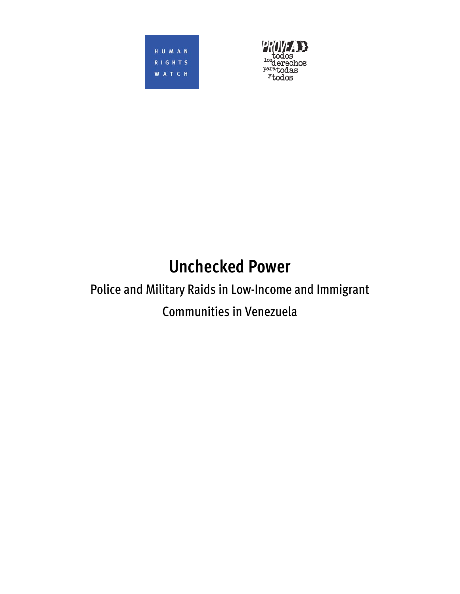HUMAN RIGHTS **WATCH** 



# **Unchecked Power**

# Police and Military Raids in Low-Income and Immigrant Communities in Venezuela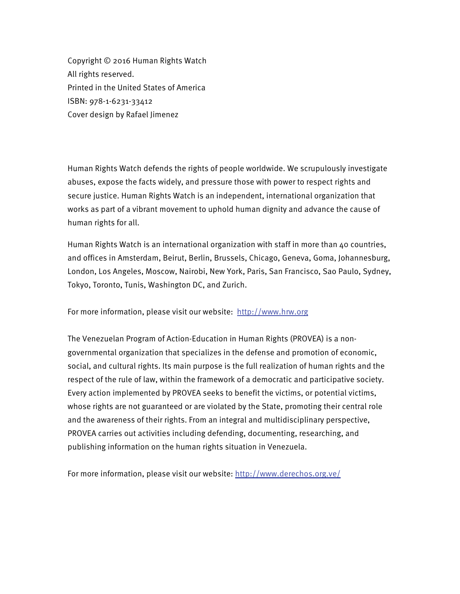Copyright © 2016 Human Rights Watch All rights reserved. Printed in the United States of America ISBN: 978-1-6231-33412 Cover design by Rafael Jimenez

Human Rights Watch defends the rights of people worldwide. We scrupulously investigate abuses, expose the facts widely, and pressure those with power to respect rights and secure justice. Human Rights Watch is an independent, international organization that works as part of a vibrant movement to uphold human dignity and advance the cause of human rights for all.

Human Rights Watch is an international organization with staff in more than 40 countries, and offices in Amsterdam, Beirut, Berlin, Brussels, Chicago, Geneva, Goma, Johannesburg, London, Los Angeles, Moscow, Nairobi, New York, Paris, San Francisco, Sao Paulo, Sydney, Tokyo, Toronto, Tunis, Washington DC, and Zurich.

For more information, please visit our website: http://www.hrw.org

The Venezuelan Program of Action-Education in Human Rights (PROVEA) is a nongovernmental organization that specializes in the defense and promotion of economic, social, and cultural rights. Its main purpose is the full realization of human rights and the respect of the rule of law, within the framework of a democratic and participative society. Every action implemented by PROVEA seeks to benefit the victims, or potential victims, whose rights are not guaranteed or are violated by the State, promoting their central role and the awareness of their rights. From an integral and multidisciplinary perspective, PROVEA carries out activities including defending, documenting, researching, and publishing information on the human rights situation in Venezuela.

For more information, please visit our website: http://www.derechos.org.ve/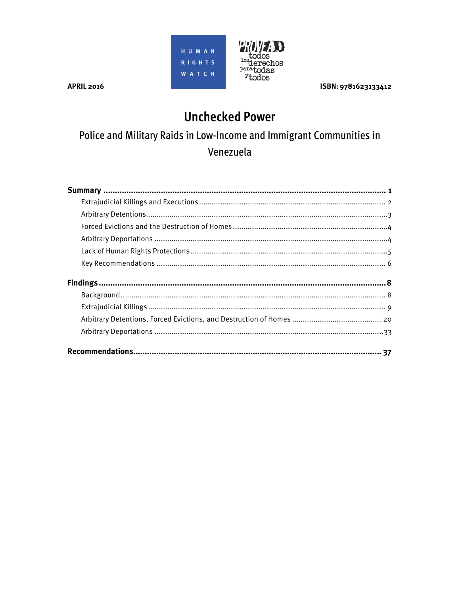



ISBN: 9781623133412

**APRIL 2016** 

## **Unchecked Power**

## Police and Military Raids in Low-Income and Immigrant Communities in Venezuela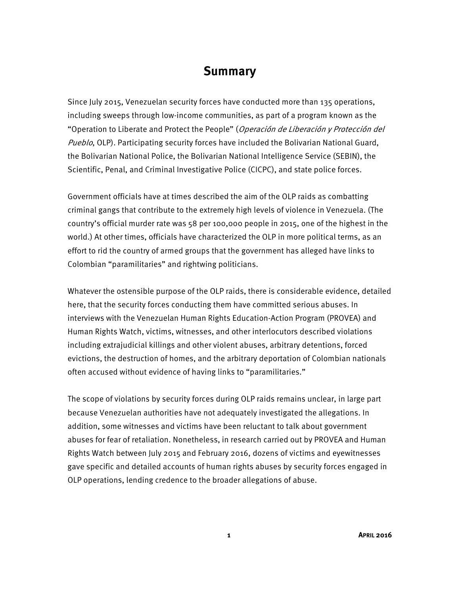## **Summary**

Since July 2015, Venezuelan security forces have conducted more than 135 operations, including sweeps through low-income communities, as part of a program known as the "Operation to Liberate and Protect the People" (Operación de Liberación y Protección del Pueblo, OLP). Participating security forces have included the Bolivarian National Guard, the Bolivarian National Police, the Bolivarian National Intelligence Service (SEBIN), the Scientific, Penal, and Criminal Investigative Police (CICPC), and state police forces.

Government officials have at times described the aim of the OLP raids as combatting criminal gangs that contribute to the extremely high levels of violence in Venezuela. (The country's official murder rate was 58 per 100,000 people in 2015, one of the highest in the world.) At other times, officials have characterized the OLP in more political terms, as an effort to rid the country of armed groups that the government has alleged have links to Colombian "paramilitaries" and rightwing politicians.

Whatever the ostensible purpose of the OLP raids, there is considerable evidence, detailed here, that the security forces conducting them have committed serious abuses. In interviews with the Venezuelan Human Rights Education-Action Program (PROVEA) and Human Rights Watch, victims, witnesses, and other interlocutors described violations including extrajudicial killings and other violent abuses, arbitrary detentions, forced evictions, the destruction of homes, and the arbitrary deportation of Colombian nationals often accused without evidence of having links to "paramilitaries."

The scope of violations by security forces during OLP raids remains unclear, in large part because Venezuelan authorities have not adequately investigated the allegations. In addition, some witnesses and victims have been reluctant to talk about government abuses for fear of retaliation. Nonetheless, in research carried out by PROVEA and Human Rights Watch between July 2015 and February 2016, dozens of victims and eyewitnesses gave specific and detailed accounts of human rights abuses by security forces engaged in OLP operations, lending credence to the broader allegations of abuse.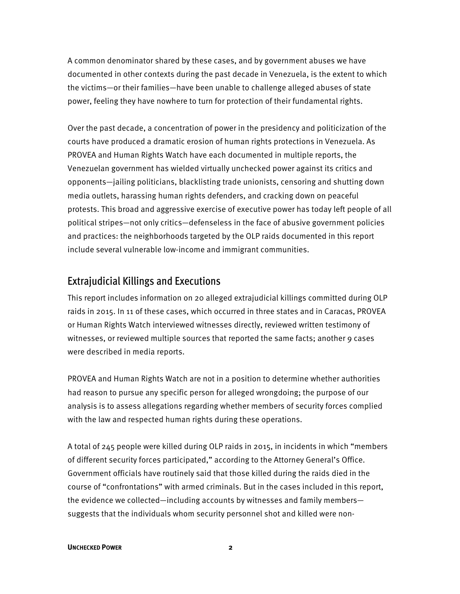A common denominator shared by these cases, and by government abuses we have documented in other contexts during the past decade in Venezuela, is the extent to which the victims—or their families—have been unable to challenge alleged abuses of state power, feeling they have nowhere to turn for protection of their fundamental rights.

Over the past decade, a concentration of power in the presidency and politicization of the courts have produced a dramatic erosion of human rights protections in Venezuela. As PROVEA and Human Rights Watch have each documented in multiple reports, the Venezuelan government has wielded virtually unchecked power against its critics and opponents—jailing politicians, blacklisting trade unionists, censoring and shutting down media outlets, harassing human rights defenders, and cracking down on peaceful protests. This broad and aggressive exercise of executive power has today left people of all political stripes—not only critics—defenseless in the face of abusive government policies and practices: the neighborhoods targeted by the OLP raids documented in this report include several vulnerable low-income and immigrant communities.

## Extrajudicial Killings and Executions

This report includes information on 20 alleged extrajudicial killings committed during OLP raids in 2015. In 11 of these cases, which occurred in three states and in Caracas, PROVEA or Human Rights Watch interviewed witnesses directly, reviewed written testimony of witnesses, or reviewed multiple sources that reported the same facts; another 9 cases were described in media reports.

PROVEA and Human Rights Watch are not in a position to determine whether authorities had reason to pursue any specific person for alleged wrongdoing; the purpose of our analysis is to assess allegations regarding whether members of security forces complied with the law and respected human rights during these operations.

A total of 245 people were killed during OLP raids in 2015, in incidents in which "members of different security forces participated," according to the Attorney General's Office. Government officials have routinely said that those killed during the raids died in the course of "confrontations" with armed criminals. But in the cases included in this report, the evidence we collected—including accounts by witnesses and family members suggests that the individuals whom security personnel shot and killed were non-

#### **UNCHECKED POWER 2**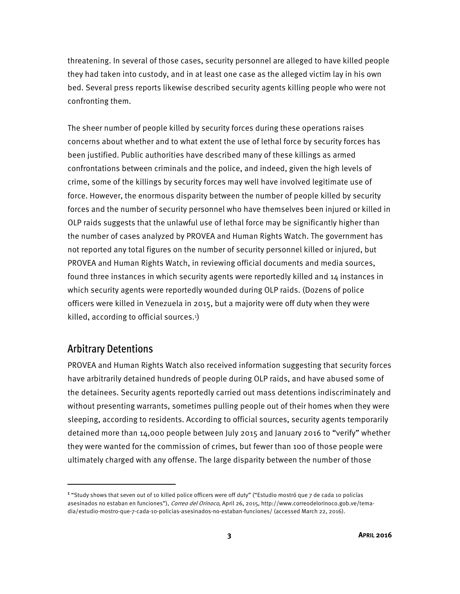threatening. In several of those cases, security personnel are alleged to have killed people they had taken into custody, and in at least one case as the alleged victim lay in his own bed. Several press reports likewise described security agents killing people who were not confronting them.

The sheer number of people killed by security forces during these operations raises concerns about whether and to what extent the use of lethal force by security forces has been justified. Public authorities have described many of these killings as armed confrontations between criminals and the police, and indeed, given the high levels of crime, some of the killings by security forces may well have involved legitimate use of force. However, the enormous disparity between the number of people killed by security forces and the number of security personnel who have themselves been injured or killed in OLP raids suggests that the unlawful use of lethal force may be significantly higher than the number of cases analyzed by PROVEA and Human Rights Watch. The government has not reported any total figures on the number of security personnel killed or injured, but PROVEA and Human Rights Watch, in reviewing official documents and media sources, found three instances in which security agents were reportedly killed and 14 instances in which security agents were reportedly wounded during OLP raids. (Dozens of police officers were killed in Venezuela in 2015, but a majority were off duty when they were killed, according to official sources.1 )

### Arbitrary Detentions

 $\overline{a}$ 

PROVEA and Human Rights Watch also received information suggesting that security forces have arbitrarily detained hundreds of people during OLP raids, and have abused some of the detainees. Security agents reportedly carried out mass detentions indiscriminately and without presenting warrants, sometimes pulling people out of their homes when they were sleeping, according to residents. According to official sources, security agents temporarily detained more than 14,000 people between July 2015 and January 2016 to "verify" whether they were wanted for the commission of crimes, but fewer than 100 of those people were ultimately charged with any offense. The large disparity between the number of those

<sup>&</sup>lt;sup>1</sup> "Study shows that seven out of 10 killed police officers were off duty" ("Estudio mostró que 7 de cada 10 policías asesinados no estaban en funciones"), Correo del Orinoco, April 26, 2015, http://www.correodelorinoco.gob.ve/temadia/estudio-mostro-que-7-cada-10-policias-asesinados-no-estaban-funciones/ (accessed March 22, 2016).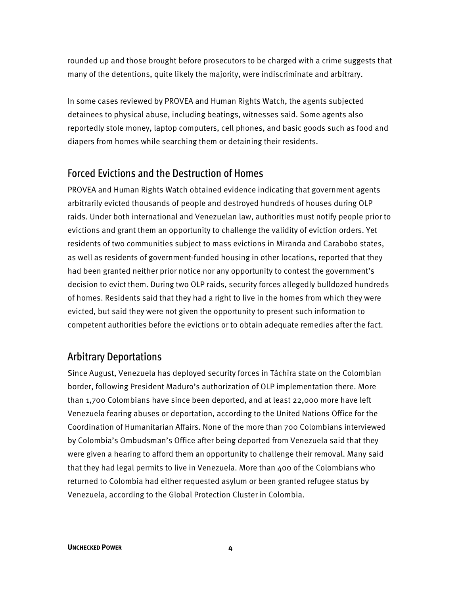rounded up and those brought before prosecutors to be charged with a crime suggests that many of the detentions, quite likely the majority, were indiscriminate and arbitrary.

In some cases reviewed by PROVEA and Human Rights Watch, the agents subjected detainees to physical abuse, including beatings, witnesses said. Some agents also reportedly stole money, laptop computers, cell phones, and basic goods such as food and diapers from homes while searching them or detaining their residents.

### Forced Evictions and the Destruction of Homes

PROVEA and Human Rights Watch obtained evidence indicating that government agents arbitrarily evicted thousands of people and destroyed hundreds of houses during OLP raids. Under both international and Venezuelan law, authorities must notify people prior to evictions and grant them an opportunity to challenge the validity of eviction orders. Yet residents of two communities subject to mass evictions in Miranda and Carabobo states, as well as residents of government-funded housing in other locations, reported that they had been granted neither prior notice nor any opportunity to contest the government's decision to evict them. During two OLP raids, security forces allegedly bulldozed hundreds of homes. Residents said that they had a right to live in the homes from which they were evicted, but said they were not given the opportunity to present such information to competent authorities before the evictions or to obtain adequate remedies after the fact.

## Arbitrary Deportations

Since August, Venezuela has deployed security forces in Táchira state on the Colombian border, following President Maduro's authorization of OLP implementation there. More than 1,700 Colombians have since been deported, and at least 22,000 more have left Venezuela fearing abuses or deportation, according to the United Nations Office for the Coordination of Humanitarian Affairs. None of the more than 700 Colombians interviewed by Colombia's Ombudsman's Office after being deported from Venezuela said that they were given a hearing to afford them an opportunity to challenge their removal. Many said that they had legal permits to live in Venezuela. More than 400 of the Colombians who returned to Colombia had either requested asylum or been granted refugee status by Venezuela, according to the Global Protection Cluster in Colombia.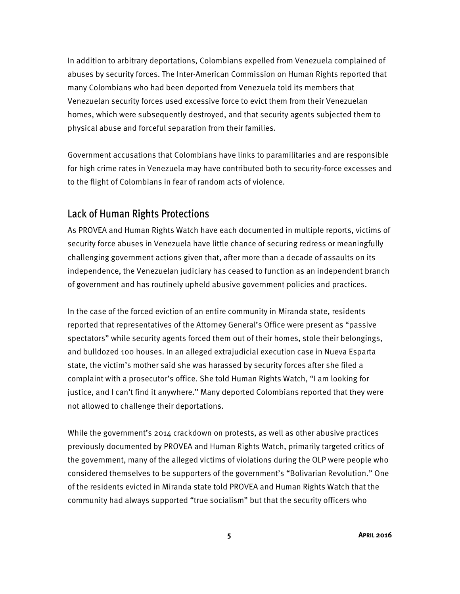In addition to arbitrary deportations, Colombians expelled from Venezuela complained of abuses by security forces. The Inter-American Commission on Human Rights reported that many Colombians who had been deported from Venezuela told its members that Venezuelan security forces used excessive force to evict them from their Venezuelan homes, which were subsequently destroyed, and that security agents subjected them to physical abuse and forceful separation from their families.

Government accusations that Colombians have links to paramilitaries and are responsible for high crime rates in Venezuela may have contributed both to security-force excesses and to the flight of Colombians in fear of random acts of violence.

## Lack of Human Rights Protections

As PROVEA and Human Rights Watch have each documented in multiple reports, victims of security force abuses in Venezuela have little chance of securing redress or meaningfully challenging government actions given that, after more than a decade of assaults on its independence, the Venezuelan judiciary has ceased to function as an independent branch of government and has routinely upheld abusive government policies and practices.

In the case of the forced eviction of an entire community in Miranda state, residents reported that representatives of the Attorney General's Office were present as "passive spectators" while security agents forced them out of their homes, stole their belongings, and bulldozed 100 houses. In an alleged extrajudicial execution case in Nueva Esparta state, the victim's mother said she was harassed by security forces after she filed a complaint with a prosecutor's office. She told Human Rights Watch, "I am looking for justice, and I can't find it anywhere." Many deported Colombians reported that they were not allowed to challenge their deportations.

While the government's 2014 crackdown on protests, as well as other abusive practices previously documented by PROVEA and Human Rights Watch, primarily targeted critics of the government, many of the alleged victims of violations during the OLP were people who considered themselves to be supporters of the government's "Bolivarian Revolution." One of the residents evicted in Miranda state told PROVEA and Human Rights Watch that the community had always supported "true socialism" but that the security officers who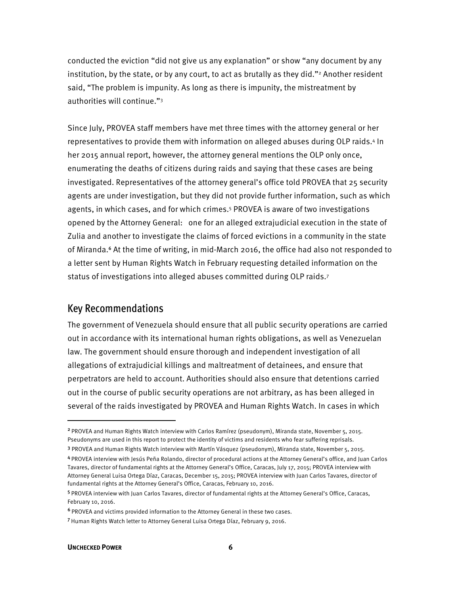conducted the eviction "did not give us any explanation" or show "any document by any institution, by the state, or by any court, to act as brutally as they did."<sup>2</sup> Another resident said, "The problem is impunity. As long as there is impunity, the mistreatment by authorities will continue."3

Since July, PROVEA staff members have met three times with the attorney general or her representatives to provide them with information on alleged abuses during OLP raids.4 In her 2015 annual report, however, the attorney general mentions the OLP only once, enumerating the deaths of citizens during raids and saying that these cases are being investigated. Representatives of the attorney general's office told PROVEA that 25 security agents are under investigation, but they did not provide further information, such as which agents, in which cases, and for which crimes.5 PROVEA is aware of two investigations opened by the Attorney General: one for an alleged extrajudicial execution in the state of Zulia and another to investigate the claims of forced evictions in a community in the state of Miranda.<sup>6</sup> At the time of writing, in mid-March 2016, the office had also not responded to a letter sent by Human Rights Watch in February requesting detailed information on the status of investigations into alleged abuses committed during OLP raids.7

### Key Recommendations

The government of Venezuela should ensure that all public security operations are carried out in accordance with its international human rights obligations, as well as Venezuelan law. The government should ensure thorough and independent investigation of all allegations of extrajudicial killings and maltreatment of detainees, and ensure that perpetrators are held to account. Authorities should also ensure that detentions carried out in the course of public security operations are not arbitrary, as has been alleged in several of the raids investigated by PROVEA and Human Rights Watch. In cases in which

<sup>2</sup>PROVEA and Human Rights Watch interview with Carlos Ramírez (pseudonym), Miranda state, November 5, 2015. Pseudonyms are used in this report to protect the identity of victims and residents who fear suffering reprisals.

<sup>3</sup> PROVEA and Human Rights Watch interview with Martín Vásquez (pseudonym), Miranda state, November 5, 2015.

<sup>4</sup>PROVEA interview with Jesús Peña Rolando, director of procedural actions at the Attorney General's office, and Juan Carlos Tavares, director of fundamental rights at the Attorney General's Office, Caracas, July 17, 2015; PROVEA interview with Attorney General Luisa Ortega Díaz, Caracas, December 15, 2015; PROVEA interview with Juan Carlos Tavares, director of fundamental rights at the Attorney General's Office, Caracas, February 10, 2016.

<sup>5</sup>PROVEA interview with Juan Carlos Tavares, director of fundamental rights at the Attorney General's Office, Caracas, February 10, 2016.

<sup>6</sup>PROVEA and victims provided information to the Attorney General in these two cases.

<sup>7</sup>Human Rights Watch letter to Attorney General Luisa Ortega Díaz, February 9, 2016.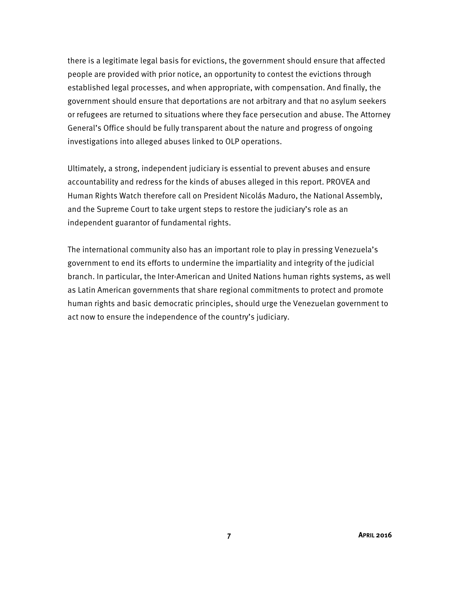there is a legitimate legal basis for evictions, the government should ensure that affected people are provided with prior notice, an opportunity to contest the evictions through established legal processes, and when appropriate, with compensation. And finally, the government should ensure that deportations are not arbitrary and that no asylum seekers or refugees are returned to situations where they face persecution and abuse. The Attorney General's Office should be fully transparent about the nature and progress of ongoing investigations into alleged abuses linked to OLP operations.

Ultimately, a strong, independent judiciary is essential to prevent abuses and ensure accountability and redress for the kinds of abuses alleged in this report. PROVEA and Human Rights Watch therefore call on President Nicolás Maduro, the National Assembly, and the Supreme Court to take urgent steps to restore the judiciary's role as an independent guarantor of fundamental rights.

The international community also has an important role to play in pressing Venezuela's government to end its efforts to undermine the impartiality and integrity of the judicial branch. In particular, the Inter-American and United Nations human rights systems, as well as Latin American governments that share regional commitments to protect and promote human rights and basic democratic principles, should urge the Venezuelan government to act now to ensure the independence of the country's judiciary.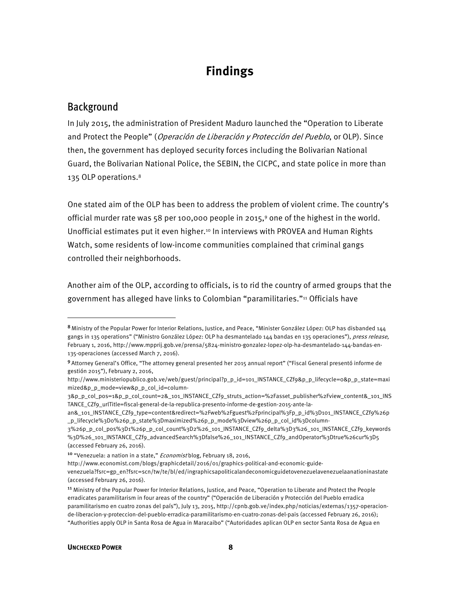## **Findings**

## Background

 $\overline{\phantom{a}}$ 

In July 2015, the administration of President Maduro launched the "Operation to Liberate and Protect the People" (Operación de Liberación y Protección del Pueblo, or OLP). Since then, the government has deployed security forces including the Bolivarian National Guard, the Bolivarian National Police, the SEBIN, the CICPC, and state police in more than 135 OLP operations.<sup>8</sup>

One stated aim of the OLP has been to address the problem of violent crime. The country's official murder rate was 58 per 100,000 people in 2015,9 one of the highest in the world. Unofficial estimates put it even higher.<sup>10</sup> In interviews with PROVEA and Human Rights Watch, some residents of low-income communities complained that criminal gangs controlled their neighborhoods.

Another aim of the OLP, according to officials, is to rid the country of armed groups that the government has alleged have links to Colombian "paramilitaries."11 Officials have

<sup>8</sup> Ministry of the Popular Power for Interior Relations, Justice, and Peace, "Minister González López: OLP has disbanded 144 gangs in 135 operations" ("Ministro González López: OLP ha desmantelado 144 bandas en 135 operaciones"), press release, February 1, 2016, http://www.mpprij.gob.ve/prensa/5824-ministro-gonzalez-lopez-olp-ha-desmantelado-144-bandas-en-135-operaciones (accessed March 7, 2016).

<sup>9</sup>Attorney General's Office, "The attorney general presented her 2015 annual report" ("Fiscal General presentó informe de gestión 2015"), February 2, 2016,

http://www.ministeriopublico.gob.ve/web/guest/principal?p\_p\_id=101\_INSTANCE\_CZf9&p\_p\_lifecycle=0&p\_p\_state=maxi mized&p\_p\_mode=view&p\_p\_col\_id=column-

<sup>3&</sup>amp;p\_p\_col\_pos=1&p\_p\_col\_count=2&\_101\_INSTANCE\_CZf9\_struts\_action=%2Fasset\_publisher%2Fview\_content&\_101\_INS TANCE\_CZf9\_urlTitle=fiscal-general-de-la-republica-presento-informe-de-gestion-2015-ante-la-

an&\_101\_INSTANCE\_CZf9\_type=content&redirect=%2Fweb%2Fguest%2Fprincipal%3Fp\_p\_id%3D101\_INSTANCE\_CZf9%26p \_p\_lifecycle%3D0%26p\_p\_state%3Dmaximized%26p\_p\_mode%3Dview%26p\_p\_col\_id%3Dcolumn-

<sup>3%26</sup>p\_p\_col\_pos%3D1%26p\_p\_col\_count%3D2%26\_101\_INSTANCE\_CZf9\_delta%3D3%26\_101\_INSTANCE\_CZf9\_keywords %3D%26\_101\_INSTANCE\_CZf9\_advancedSearch%3Dfalse%26\_101\_INSTANCE\_CZf9\_andOperator%3Dtrue%26cur%3D5 (accessed February 26, 2016).

<sup>&</sup>lt;sup>10</sup> "Venezuela: a nation in a state," *Economist* blog, February 18, 2016,

http://www.economist.com/blogs/graphicdetail/2016/01/graphics-political-and-economic-guide-

venezuela?fsrc=gp\_en?fsrc=scn/tw/te/bl/ed/ingraphicsapoliticalandeconomicguidetovenezuelavenezuelaanationinastate (accessed February 26, 2016).

<sup>&</sup>lt;sup>11</sup> Ministry of the Popular Power for Interior Relations, Justice, and Peace, "Operation to Liberate and Protect the People erradicates paramilitarism in four areas of the country" ("Operación de Liberación y Protección del Pueblo erradica paramilitarismo en cuatro zonas del país"), July 13, 2015, http://cpnb.gob.ve/index.php/noticias/externas/1357-operacionde-liberacion-y-proteccion-del-pueblo-erradica-paramilitarismo-en-cuatro-zonas-del-pais (accessed February 26, 2016); "Authorities apply OLP in Santa Rosa de Agua in Maracaibo" ("Autoridades aplican OLP en sector Santa Rosa de Agua en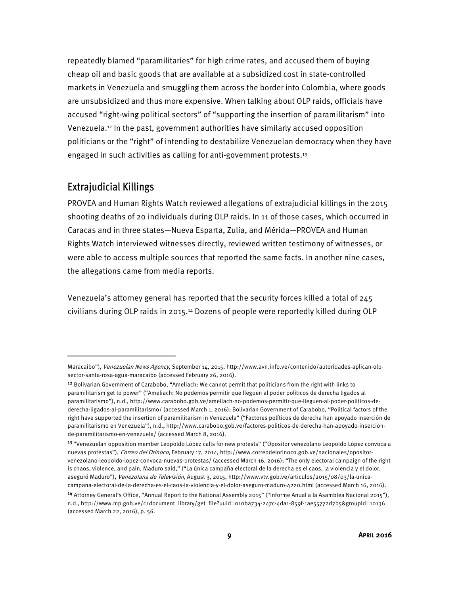repeatedly blamed "paramilitaries" for high crime rates, and accused them of buying cheap oil and basic goods that are available at a subsidized cost in state-controlled markets in Venezuela and smuggling them across the border into Colombia, where goods are unsubsidized and thus more expensive. When talking about OLP raids, officials have accused "right-wing political sectors" of "supporting the insertion of paramilitarism" into Venezuela.12 In the past, government authorities have similarly accused opposition politicians or the "right" of intending to destabilize Venezuelan democracy when they have engaged in such activities as calling for anti-government protests.13

## Extrajudicial Killings

 $\overline{a}$ 

PROVEA and Human Rights Watch reviewed allegations of extrajudicial killings in the 2015 shooting deaths of 20 individuals during OLP raids. In 11 of those cases, which occurred in Caracas and in three states—Nueva Esparta, Zulia, and Mérida—PROVEA and Human Rights Watch interviewed witnesses directly, reviewed written testimony of witnesses, or were able to access multiple sources that reported the same facts. In another nine cases, the allegations came from media reports.

Venezuela's attorney general has reported that the security forces killed a total of 245 civilians during OLP raids in 2015.14 Dozens of people were reportedly killed during OLP

Maracaibo"), Venezuelan News Agency, September 14, 2015, http://www.avn.info.ve/contenido/autoridades-aplican-olpsector-santa-rosa-agua-maracaibo (accessed February 26, 2016).

<sup>&</sup>lt;sup>12</sup> Bolivarian Government of Carabobo, "Ameliach: We cannot permit that politicians from the right with links to paramilitarism get to power" ("Ameliach: No podemos permitir que lleguen al poder políticos de derecha ligados al paramilitarismo"), n.d., http://www.carabobo.gob.ve/ameliach-no-podemos-permitir-que-lleguen-al-poder-politicos-dederecha-ligados-al-paramilitarismo/ (accessed March 1, 2016); Bolivarian Government of Carabobo, "Political factors of the right have supported the insertion of paramilitarism in Venezuela" ("Factores políticos de derecha han apoyado inserción de paramilitarismo en Venezuela"), n.d., http://www.carabobo.gob.ve/factores-politicos-de-derecha-han-apoyado-insercionde-paramilitarismo-en-venezuela/ (accessed March 8, 2016).

<sup>&</sup>lt;sup>13</sup> "Venezuelan opposition member Leopoldo López calls for new protests" ("Opositor venezolano Leopoldo López convoca a nuevas protestas"), Correo del Orinoco, February 17, 2014, http://www.correodelorinoco.gob.ve/nacionales/opositorvenezolano-leopoldo-lopez-convoca-nuevas-protestas/ (accessed March 16, 2016); "The only electoral campaign of the right is chaos, violence, and pain, Maduro said," ("La única campaña electoral de la derecha es el caos, la violencia y el dolor, aseguró Maduro"), Venezolana de Televisión, August 3, 2015, http://www.vtv.gob.ve/articulos/2015/08/03/la-unicacampana-electoral-de-la-derecha-es-el-caos-la-violencia-y-el-dolor-aseguro-maduro-4220.html (accessed March 16, 2016).

<sup>14</sup> Attorney General's Office, "Annual Report to the National Assembly 2015" ("Informe Anual a la Asamblea Nacional 2015"), n.d., http://www.mp.gob.ve/c/document\_library/get\_file?uuid=010ba734-247c-4da1-859f-1ae55772d7b5&groupId=10136 (accessed March 22, 2016), p. 56.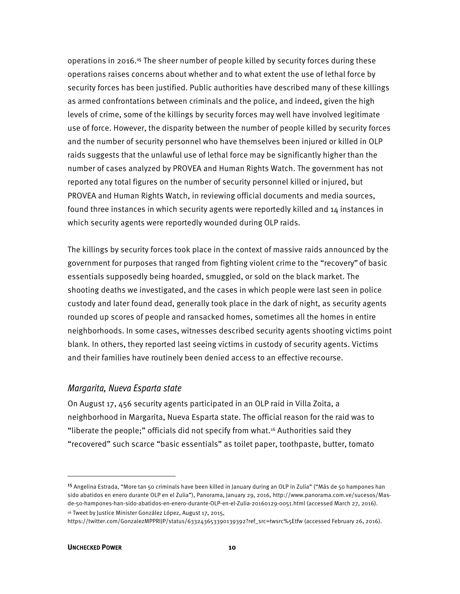operations in 2016.<sup>15</sup> The sheer number of people killed by security forces during these operations raises concerns about whether and to what extent the use of lethal force by security forces has been justified. Public authorities have described many of these killings as armed confrontations between criminals and the police, and indeed, given the high levels of crime, some of the killings by security forces may well have involved legitimate use of force. However, the disparity between the number of people killed by security forces and the number of security personnel who have themselves been injured or killed in OLP raids suggests that the unlawful use of lethal force may be significantly higher than the number of cases analyzed by PROVEA and Human Rights Watch. The government has not reported any total figures on the number of security personnel killed or injured, but PROVEA and Human Rights Watch, in reviewing official documents and media sources, found three instances in which security agents were reportedly killed and 14 instances in which security agents were reportedly wounded during OLP raids.

The killings by security forces took place in the context of massive raids announced by the government for purposes that ranged from fighting violent crime to the "recovery" of basic essentials supposedly being hoarded, smuggled, or sold on the black market. The shooting deaths we investigated, and the cases in which people were last seen in police custody and later found dead, generally took place in the dark of night, as security agents rounded up scores of people and ransacked homes, sometimes all the homes in entire neighborhoods. In some cases, witnesses described security agents shooting victims point blank. In others, they reported last seeing victims in custody of security agents. Victims and their families have routinely been denied access to an effective recourse.

#### Margarita, Nueva Esparta state

On August 17, 456 security agents participated in an OLP raid in Villa Zoita, a neighborhood in Margarita, Nueva Esparta state. The official reason for the raid was to "liberate the people;" officials did not specify from what.16 Authorities said they "recovered" such scarce "basic essentials" as toilet paper, toothpaste, butter, tomato

 $\overline{a}$ 

<sup>&</sup>lt;sup>15</sup> Angelina Estrada, "More tan 50 criminals have been killed in January during an OLP in Zulia" ("Más de 50 hampones han sido abatidos en enero durante OLP en el Zulia"), Panorama, January 29, 2016, http://www.panorama.com.ve/sucesos/Masde-50-hampones-han-sido-abatidos-en-enero-durante-OLP-en-el-Zulia-20160129-0051.html (accessed March 27, 2016).

<sup>16</sup> Tweet by Justice Minister González López, August 17, 2015,

https://twitter.com/GonzalezMPPRIJP/status/633243653390139392?ref\_src=twsrc%5Etfw (accessed February 26, 2016).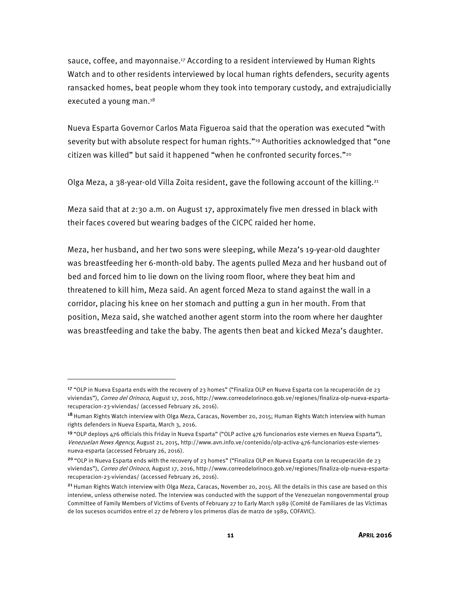sauce, coffee, and mayonnaise.17 According to a resident interviewed by Human Rights Watch and to other residents interviewed by local human rights defenders, security agents ransacked homes, beat people whom they took into temporary custody, and extrajudicially executed a young man.18

Nueva Esparta Governor Carlos Mata Figueroa said that the operation was executed "with severity but with absolute respect for human rights."19 Authorities acknowledged that "one citizen was killed" but said it happened "when he confronted security forces."<sup>20</sup>

Olga Meza, a 38-year-old Villa Zoita resident, gave the following account of the killing.<sup>21</sup>

Meza said that at 2:30 a.m. on August 17, approximately five men dressed in black with their faces covered but wearing badges of the CICPC raided her home.

Meza, her husband, and her two sons were sleeping, while Meza's 19-year-old daughter was breastfeeding her 6-month-old baby. The agents pulled Meza and her husband out of bed and forced him to lie down on the living room floor, where they beat him and threatened to kill him, Meza said. An agent forced Meza to stand against the wall in a corridor, placing his knee on her stomach and putting a gun in her mouth. From that position, Meza said, she watched another agent storm into the room where her daughter was breastfeeding and take the baby. The agents then beat and kicked Meza's daughter.

<u>.</u>

<sup>&</sup>lt;sup>17</sup> "OLP in Nueva Esparta ends with the recovery of 23 homes" ("Finaliza OLP en Nueva Esparta con la recuperación de 23 viviendas"), Correo del Orinoco, August 17, 2016, http://www.correodelorinoco.gob.ve/regiones/finaliza-olp-nueva-espartarecuperacion-23-viviendas/ (accessed February 26, 2016).

<sup>&</sup>lt;sup>18</sup> Human Rights Watch interview with Olga Meza, Caracas, November 20, 2015; Human Rights Watch interview with human rights defenders in Nueva Esparta, March 3, 2016.

<sup>19</sup>"OLP deploys 476 officials this Friday in Nueva Esparta" ("OLP active 476 funcionarios este viernes en Nueva Esparta"), Venezuelan News Agency, August 21, 2015, http://www.avn.info.ve/contenido/olp-activa-476-funcionarios-este-viernesnueva-esparta (accessed February 26, 2016).

<sup>&</sup>lt;sup>20</sup> "OLP in Nueva Esparta ends with the recovery of 23 homes" ("Finaliza OLP en Nueva Esparta con la recuperación de 23 viviendas"), Correo del Orinoco, August 17, 2016, http://www.correodelorinoco.gob.ve/regiones/finaliza-olp-nueva-espartarecuperacion-23-viviendas/ (accessed February 26, 2016).

<sup>&</sup>lt;sup>21</sup> Human Rights Watch interview with Olga Meza, Caracas, November 20, 2015. All the details in this case are based on this interview, unless otherwise noted. The interview was conducted with the support of the Venezuelan nongovernmental group Committee of Family Members of Victims of Events of February 27 to Early March 1989 (Comité de Familiares de las Víctimas de los sucesos ocurridos entre el 27 de febrero y los primeros días de marzo de 1989, COFAVIC).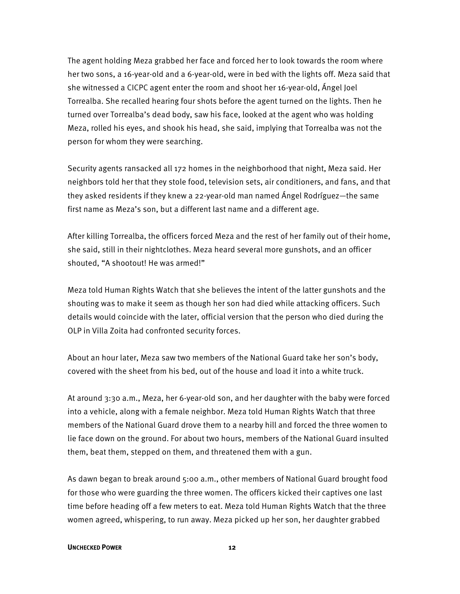The agent holding Meza grabbed her face and forced her to look towards the room where her two sons, a 16-year-old and a 6-year-old, were in bed with the lights off. Meza said that she witnessed a CICPC agent enter the room and shoot her 16-year-old, Ángel Joel Torrealba. She recalled hearing four shots before the agent turned on the lights. Then he turned over Torrealba's dead body, saw his face, looked at the agent who was holding Meza, rolled his eyes, and shook his head, she said, implying that Torrealba was not the person for whom they were searching.

Security agents ransacked all 172 homes in the neighborhood that night, Meza said. Her neighbors told her that they stole food, television sets, air conditioners, and fans, and that they asked residents if they knew a 22-year-old man named Ángel Rodríguez—the same first name as Meza's son, but a different last name and a different age.

After killing Torrealba, the officers forced Meza and the rest of her family out of their home, she said, still in their nightclothes. Meza heard several more gunshots, and an officer shouted, "A shootout! He was armed!"

Meza told Human Rights Watch that she believes the intent of the latter gunshots and the shouting was to make it seem as though her son had died while attacking officers. Such details would coincide with the later, official version that the person who died during the OLP in Villa Zoita had confronted security forces.

About an hour later, Meza saw two members of the National Guard take her son's body, covered with the sheet from his bed, out of the house and load it into a white truck.

At around 3:30 a.m., Meza, her 6-year-old son, and her daughter with the baby were forced into a vehicle, along with a female neighbor. Meza told Human Rights Watch that three members of the National Guard drove them to a nearby hill and forced the three women to lie face down on the ground. For about two hours, members of the National Guard insulted them, beat them, stepped on them, and threatened them with a gun.

As dawn began to break around 5:00 a.m., other members of National Guard brought food for those who were guarding the three women. The officers kicked their captives one last time before heading off a few meters to eat. Meza told Human Rights Watch that the three women agreed, whispering, to run away. Meza picked up her son, her daughter grabbed

#### **UNCHECKED POWER** 12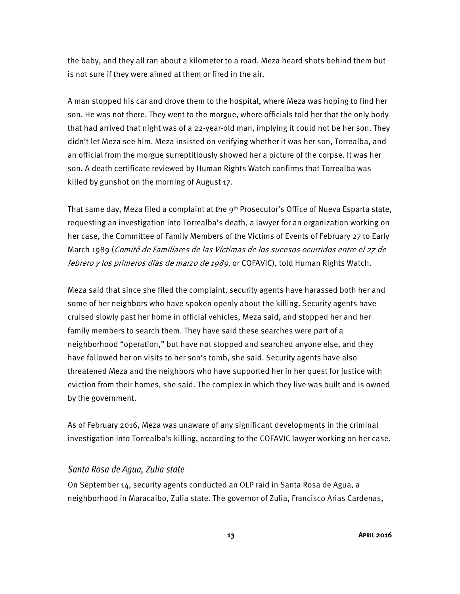the baby, and they all ran about a kilometer to a road. Meza heard shots behind them but is not sure if they were aimed at them or fired in the air.

A man stopped his car and drove them to the hospital, where Meza was hoping to find her son. He was not there. They went to the morgue, where officials told her that the only body that had arrived that night was of a 22-year-old man, implying it could not be her son. They didn't let Meza see him. Meza insisted on verifying whether it was her son, Torrealba, and an official from the morgue surreptitiously showed her a picture of the corpse. It was her son. A death certificate reviewed by Human Rights Watch confirms that Torrealba was killed by gunshot on the morning of August 17.

That same day, Meza filed a complaint at the 9<sup>th</sup> Prosecutor's Office of Nueva Esparta state, requesting an investigation into Torrealba's death, a lawyer for an organization working on her case, the Committee of Family Members of the Victims of Events of February 27 to Early March 1989 (Comité de Familiares de las Víctimas de los sucesos ocurridos entre el 27 de febrero y los primeros días de marzo de 1989, or COFAVIC), told Human Rights Watch.

Meza said that since she filed the complaint, security agents have harassed both her and some of her neighbors who have spoken openly about the killing. Security agents have cruised slowly past her home in official vehicles, Meza said, and stopped her and her family members to search them. They have said these searches were part of a neighborhood "operation," but have not stopped and searched anyone else, and they have followed her on visits to her son's tomb, she said. Security agents have also threatened Meza and the neighbors who have supported her in her quest for justice with eviction from their homes, she said. The complex in which they live was built and is owned by the government.

As of February 2016, Meza was unaware of any significant developments in the criminal investigation into Torrealba's killing, according to the COFAVIC lawyer working on her case.

#### Santa Rosa de Agua, Zulia state

On September 14, security agents conducted an OLP raid in Santa Rosa de Agua, a neighborhood in Maracaibo, Zulia state. The governor of Zulia, Francisco Arias Cardenas,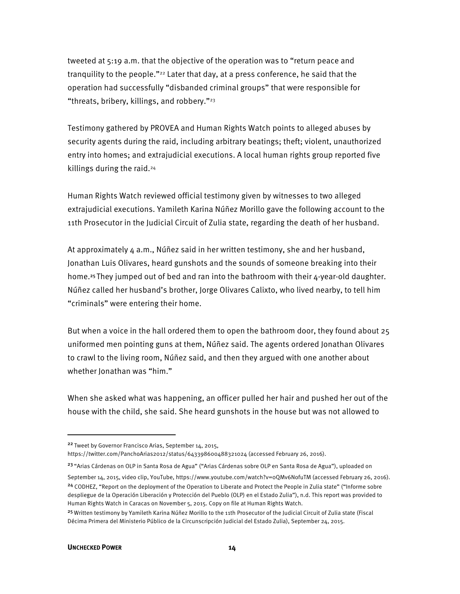tweeted at 5:19 a.m. that the objective of the operation was to "return peace and tranquility to the people."<sup>22</sup> Later that day, at a press conference, he said that the operation had successfully "disbanded criminal groups" that were responsible for "threats, bribery, killings, and robbery."23

Testimony gathered by PROVEA and Human Rights Watch points to alleged abuses by security agents during the raid, including arbitrary beatings; theft; violent, unauthorized entry into homes; and extrajudicial executions. A local human rights group reported five killings during the raid.<sup>24</sup>

Human Rights Watch reviewed official testimony given by witnesses to two alleged extrajudicial executions. Yamileth Karina Núñez Morillo gave the following account to the 11th Prosecutor in the Judicial Circuit of Zulia state, regarding the death of her husband.

At approximately 4 a.m., Núñez said in her written testimony, she and her husband, Jonathan Luis Olivares, heard gunshots and the sounds of someone breaking into their home.<sup>25</sup>They jumped out of bed and ran into the bathroom with their 4-year-old daughter. Núñez called her husband's brother, Jorge Olivares Calixto, who lived nearby, to tell him "criminals" were entering their home.

But when a voice in the hall ordered them to open the bathroom door, they found about 25 uniformed men pointing guns at them, Núñez said. The agents ordered Jonathan Olivares to crawl to the living room, Núñez said, and then they argued with one another about whether Jonathan was "him."

When she asked what was happening, an officer pulled her hair and pushed her out of the house with the child, she said. She heard gunshots in the house but was not allowed to

 $\overline{a}$ 

<sup>&</sup>lt;sup>22</sup> Tweet by Governor Francisco Arias, September 14, 2015, https://twitter.com/PanchoArias2012/status/643398600488321024 (accessed February 26, 2016).

<sup>&</sup>lt;sup>23</sup> "Arias Cárdenas on OLP in Santa Rosa de Agua" ("Arias Cárdenas sobre OLP en Santa Rosa de Agua"), uploaded on September 14, 2015, video clip, YouTube, https://www.youtube.com/watch?v=0QMv6NofuTM (accessed February 26, 2016). <sup>24</sup> CODHEZ, "Report on the deployment of the Operation to Liberate and Protect the People in Zulia state" ("Informe sobre despliegue de la Operación Liberación y Protección del Pueblo (OLP) en el Estado Zulia"), n.d. This report was provided to Human Rights Watch in Caracas on November 5, 2015. Copy on file at Human Rights Watch.

<sup>&</sup>lt;sup>25</sup> Written testimony by Yamileth Karina Núñez Morillo to the 11th Prosecutor of the Iudicial Circuit of Zulia state (Fiscal Décima Primera del Ministerio Público de la Circunscripción Judicial del Estado Zulia), September 24, 2015.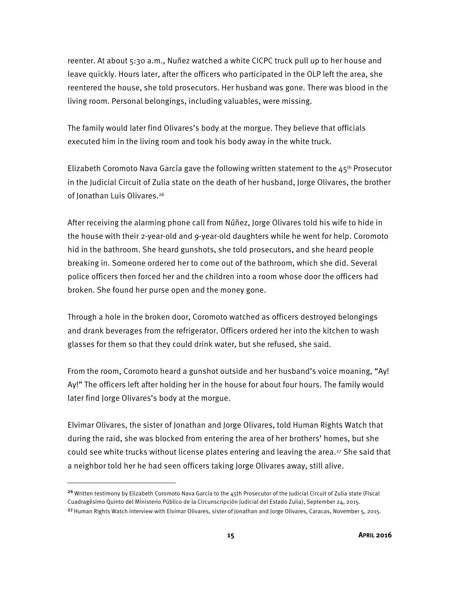reenter. At about 5:30 a.m., Nuñez watched a white CICPC truck pull up to her house and leave quickly. Hours later, after the officers who participated in the OLP left the area, she reentered the house, she told prosecutors. Her husband was gone. There was blood in the living room. Personal belongings, including valuables, were missing.

The family would later find Olivares's body at the morgue. They believe that officials executed him in the living room and took his body away in the white truck.

Elizabeth Coromoto Nava García gave the following written statement to the 45<sup>th</sup> Prosecutor in the Judicial Circuit of Zulia state on the death of her husband, Jorge Olivares, the brother of Jonathan Luis Olivares.<sup>26</sup>

After receiving the alarming phone call from Núñez, Jorge Olivares told his wife to hide in the house with their 2-year-old and 9-year-old daughters while he went for help. Coromoto hid in the bathroom. She heard gunshots, she told prosecutors, and she heard people breaking in. Someone ordered her to come out of the bathroom, which she did. Several police officers then forced her and the children into a room whose door the officers had broken. She found her purse open and the money gone.

Through a hole in the broken door, Coromoto watched as officers destroyed belongings and drank beverages from the refrigerator. Officers ordered her into the kitchen to wash glasses for them so that they could drink water, but she refused, she said.

From the room, Coromoto heard a gunshot outside and her husband's voice moaning, "Ay! Ay!" The officers left after holding her in the house for about four hours. The family would later find Jorge Olivares's body at the morgue.

Elvimar Olivares, the sister of Jonathan and Jorge Olivares, told Human Rights Watch that during the raid, she was blocked from entering the area of her brothers' homes, but she could see white trucks without license plates entering and leaving the area.<sup>27</sup> She said that a neighbor told her he had seen officers taking Jorge Olivares away, still alive.

 $\overline{a}$ 

<sup>&</sup>lt;sup>26</sup> Written testimony by Elizabeth Coromoto Nava García to the 45th Prosecutor of the Judicial Circuit of Zulia state (Fiscal Cuadragésimo Quinto del Ministerio Público de la Circunscripción Judicial del Estado Zulia), September 24, 2015.

<sup>&</sup>lt;sup>27</sup> Human Rights Watch interview with Elvimar Olivares, sister of Jonathan and Jorge Olivares, Caracas, November 5, 2015.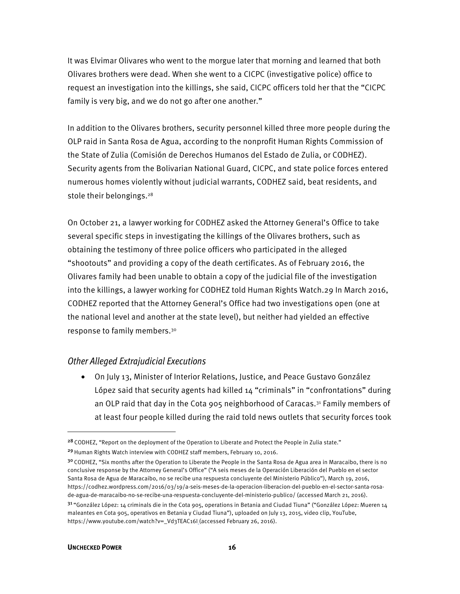It was Elvimar Olivares who went to the morgue later that morning and learned that both Olivares brothers were dead. When she went to a CICPC (investigative police) office to request an investigation into the killings, she said, CICPC officers told her that the "CICPC family is very big, and we do not go after one another."

In addition to the Olivares brothers, security personnel killed three more people during the OLP raid in Santa Rosa de Agua, according to the nonprofit Human Rights Commission of the State of Zulia (Comisión de Derechos Humanos del Estado de Zulia, or CODHEZ). Security agents from the Bolivarian National Guard, CICPC, and state police forces entered numerous homes violently without judicial warrants, CODHEZ said, beat residents, and stole their belongings.<sup>28</sup>

On October 21, a lawyer working for CODHEZ asked the Attorney General's Office to take several specific steps in investigating the killings of the Olivares brothers, such as obtaining the testimony of three police officers who participated in the alleged "shootouts" and providing a copy of the death certificates. As of February 2016, the Olivares family had been unable to obtain a copy of the judicial file of the investigation into the killings, a lawyer working for CODHEZ told Human Rights Watch.29 In March 2016, CODHEZ reported that the Attorney General's Office had two investigations open (one at the national level and another at the state level), but neither had yielded an effective response to family members.30

#### Other Alleged Extrajudicial Executions

• On July 13, Minister of Interior Relations, Justice, and Peace Gustavo González López said that security agents had killed 14 "criminals" in "confrontations" during an OLP raid that day in the Cota 905 neighborhood of Caracas.<sup>31</sup> Family members of at least four people killed during the raid told news outlets that security forces took

**.** 

<sup>&</sup>lt;sup>28</sup> CODHEZ, "Report on the deployment of the Operation to Liberate and Protect the People in Zulia state."

<sup>&</sup>lt;sup>29</sup> Human Rights Watch interview with CODHEZ staff members, February 10, 2016.

<sup>&</sup>lt;sup>30</sup> CODHEZ, "Six months after the Operation to Liberate the People in the Santa Rosa de Agua area in Maracaibo, there is no conclusive response by the Attorney General's Office" ("A seis meses de la Operación Liberación del Pueblo en el sector Santa Rosa de Agua de Maracaibo, no se recibe una respuesta concluyente del Ministerio Público"), March 19, 2016, https://codhez.wordpress.com/2016/03/19/a-seis-meses-de-la-operacion-liberacion-del-pueblo-en-el-sector-santa-rosade-agua-de-maracaibo-no-se-recibe-una-respuesta-concluyente-del-ministerio-publico/ (accessed March 21, 2016).  $31$  "González López: 14 criminals die in the Cota 905, operations in Betania and Ciudad Tiuna" ("González López: Mueren 14 maleantes en Cota 905, operativos en Betania y Ciudad Tiuna"), uploaded on July 13, 2015, video clip, YouTube, https://www.youtube.com/watch?v=\_Vd3TEAC16I (accessed February 26, 2016).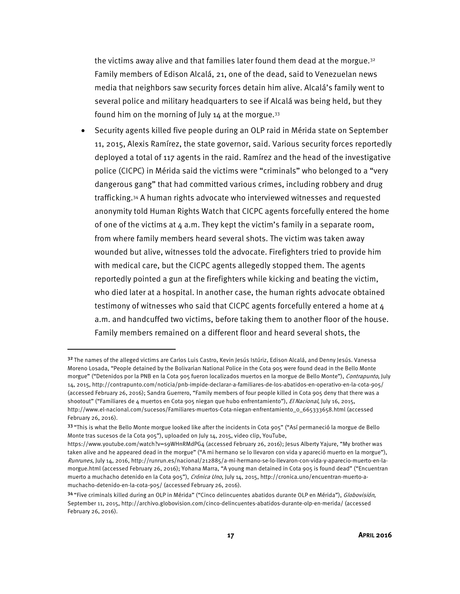the victims away alive and that families later found them dead at the morgue. $32$ Family members of Edison Alcalá, 21, one of the dead, said to Venezuelan news media that neighbors saw security forces detain him alive. Alcalá's family went to several police and military headquarters to see if Alcalá was being held, but they found him on the morning of July  $14$  at the morgue.<sup>33</sup>

• Security agents killed five people during an OLP raid in Mérida state on September 11, 2015, Alexis Ramírez, the state governor, said. Various security forces reportedly deployed a total of 117 agents in the raid. Ramírez and the head of the investigative police (CICPC) in Mérida said the victims were "criminals" who belonged to a "very dangerous gang" that had committed various crimes, including robbery and drug trafficking.34 A human rights advocate who interviewed witnesses and requested anonymity told Human Rights Watch that CICPC agents forcefully entered the home of one of the victims at  $4$  a.m. They kept the victim's family in a separate room, from where family members heard several shots. The victim was taken away wounded but alive, witnesses told the advocate. Firefighters tried to provide him with medical care, but the CICPC agents allegedly stopped them. The agents reportedly pointed a gun at the firefighters while kicking and beating the victim, who died later at a hospital. In another case, the human rights advocate obtained testimony of witnesses who said that CICPC agents forcefully entered a home at 4 a.m. and handcuffed two victims, before taking them to another floor of the house. Family members remained on a different floor and heard several shots, the

 $\overline{a}$ 

<sup>32</sup> The names of the alleged victims are Carlos Luis Castro, Kevin Jesús Istúriz, Edison Alcalá, and Denny Jesús. Vanessa Moreno Losada, "People detained by the Bolivarian National Police in the Cota 905 were found dead in the Bello Monte morgue" ("Detenidos por la PNB en la Cota 905 fueron localizados muertos en la morgue de Bello Monte"), Contrapunto, July 14, 2015, http://contrapunto.com/noticia/pnb-impide-declarar-a-familiares-de-los-abatidos-en-operativo-en-la-cota-905/ (accessed February 26, 2016); Sandra Guerrero, "Family members of four people killed in Cota 905 deny that there was a shootout" ("Familiares de 4 muertos en Cota 905 niegan que hubo enfrentamiento"), El Nacional, July 16, 2015, http://www.el-nacional.com/sucesos/Familiares-muertos-Cota-niegan-enfrentamiento\_0\_665333658.html (accessed February 26, 2016).

<sup>33 &</sup>quot;This is what the Bello Monte morgue looked like after the incidents in Cota 905" ("Así permaneció la morgue de Bello Monte tras sucesos de la Cota 905"), uploaded on July 14, 2015, video clip, YouTube,

https://www.youtube.com/watch?v=s9WHnRMdPG4 (accessed February 26, 2016); Jesus Alberty Yajure, "My brother was taken alive and he appeared dead in the morgue" ("A mi hermano se lo llevaron con vida y apareció muerto en la morgue"), Runrunes, July 14, 2016, http://runrun.es/nacional/212885/a-mi-hermano-se-lo-llevaron-con-vida-y-aparecio-muerto-en-lamorgue.html (accessed February 26, 2016); Yohana Marra, "A young man detained in Cota 905 is found dead" ("Encuentran muerto a muchacho detenido en la Cota 905"), Crónica Uno, July 14, 2015, http://cronica.uno/encuentran-muerto-amuchacho-detenido-en-la-cota-905/ (accessed February 26, 2016).

<sup>34 &</sup>quot;Five criminals killed during an OLP in Mérida" ("Cinco delincuentes abatidos durante OLP en Mérida"), Globovisión, September 11, 2015, http://archivo.globovision.com/cinco-delincuentes-abatidos-durante-olp-en-merida/ (accessed February 26, 2016).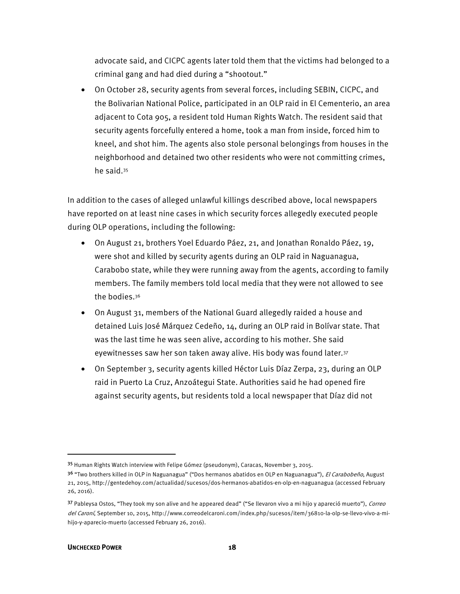advocate said, and CICPC agents later told them that the victims had belonged to a criminal gang and had died during a "shootout."

• On October 28, security agents from several forces, including SEBIN, CICPC, and the Bolivarian National Police, participated in an OLP raid in El Cementerio, an area adjacent to Cota 905, a resident told Human Rights Watch. The resident said that security agents forcefully entered a home, took a man from inside, forced him to kneel, and shot him. The agents also stole personal belongings from houses in the neighborhood and detained two other residents who were not committing crimes, he said.35

In addition to the cases of alleged unlawful killings described above, local newspapers have reported on at least nine cases in which security forces allegedly executed people during OLP operations, including the following:

- On August 21, brothers Yoel Eduardo Páez, 21, and Jonathan Ronaldo Páez, 19, were shot and killed by security agents during an OLP raid in Naguanagua, Carabobo state, while they were running away from the agents, according to family members. The family members told local media that they were not allowed to see the bodies.36
- On August 31, members of the National Guard allegedly raided a house and detained Luis José Márquez Cedeño, 14, during an OLP raid in Bolívar state. That was the last time he was seen alive, according to his mother. She said eyewitnesses saw her son taken away alive. His body was found later.<sup>37</sup>
- On September 3, security agents killed Héctor Luis Díaz Zerpa, 23, during an OLP raid in Puerto La Cruz, Anzoátegui State. Authorities said he had opened fire against security agents, but residents told a local newspaper that Díaz did not

 $\overline{a}$ 

<sup>35</sup> Human Rights Watch interview with Felipe Gómez (pseudonym), Caracas, November 3, 2015.

<sup>3&</sup>lt;sup>6</sup> "Two brothers killed in OLP in Naguanagua" ("Dos hermanos abatidos en OLP en Naguanagua"), El Carabobeño, August 21, 2015, http://gentedehoy.com/actualidad/sucesos/dos-hermanos-abatidos-en-olp-en-naguanagua (accessed February 26, 2016).

<sup>37</sup> Pableysa Ostos, "They took my son alive and he appeared dead" ("Se llevaron vivo a mi hijo y apareció muerto"), Correo del Caroní, September 10, 2015, http://www.correodelcaroni.com/index.php/sucesos/item/36810-la-olp-se-llevo-vivo-a-mihijo-y-aparecio-muerto (accessed February 26, 2016).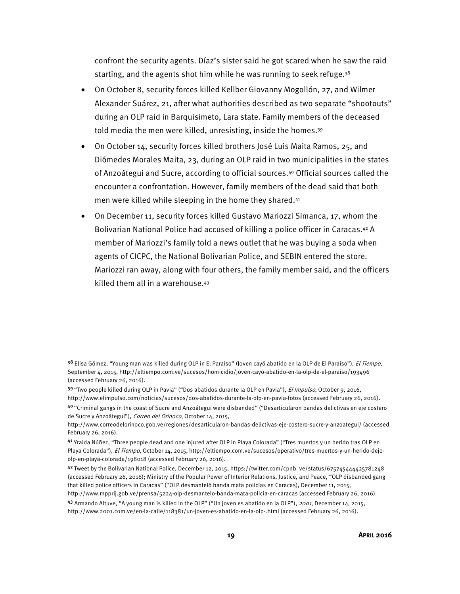confront the security agents. Díaz's sister said he got scared when he saw the raid starting, and the agents shot him while he was running to seek refuge.<sup>38</sup>

- On October 8, security forces killed Kellber Giovanny Mogollón, 27, and Wilmer Alexander Suárez, 21, after what authorities described as two separate "shootouts" during an OLP raid in Barquisimeto, Lara state. Family members of the deceased told media the men were killed, unresisting, inside the homes.<sup>39</sup>
- On October 14, security forces killed brothers José Luis Maita Ramos, 25, and Diómedes Morales Maita, 23, during an OLP raid in two municipalities in the states of Anzoátegui and Sucre, according to official sources.40 Official sources called the encounter a confrontation. However, family members of the dead said that both men were killed while sleeping in the home they shared.41
- On December 11, security forces killed Gustavo Mariozzi Simanca, 17, whom the Bolivarian National Police had accused of killing a police officer in Caracas.42 A member of Mariozzi's family told a news outlet that he was buying a soda when agents of CICPC, the National Bolivarian Police, and SEBIN entered the store. Mariozzi ran away, along with four others, the family member said, and the officers killed them all in a warehouse.43

<sup>38</sup> Elisa Gómez, "Young man was killed during OLP in El Paraíso" (Joven cayó abatido en la OLP de El Paraíso"), El Tiempo, September 4, 2015, http://eltiempo.com.ve/sucesos/homicidio/joven-cayo-abatido-en-la-olp-de-el-paraiso/193496 (accessed February 26, 2016).

<sup>39 &</sup>quot;Two people killed during OLP in Pavia" ("Dos abatidos durante la OLP en Pavia"), *El Impulso*, October 9, 2016, http://www.elimpulso.com/noticias/sucesos/dos-abatidos-durante-la-olp-en-pavia-fotos (accessed February 26, 2016).

<sup>40</sup>"Criminal gangs in the coast of Sucre and Anzoátegui were disbanded" ("Desarticularon bandas delictivas en eje costero de Sucre y Anzoátegui"), Correo del Orinoco, October 14, 2015,

http://www.correodelorinoco.gob.ve/regiones/desarticularon-bandas-delictivas-eje-costero-sucre-y-anzoategui/ (accessed February 26, 2016).

<sup>41</sup> Yraida Núñez, "Three people dead and one injured after OLP in Playa Colorada" ("Tres muertos y un herido tras OLP en Playa Colorada"), El Tiempo, October 14, 2015, http://eltiempo.com.ve/sucesos/operativo/tres-muertos-y-un-herido-dejoolp-en-playa-colorada/198018 (accessed February 26, 2016).

<sup>42</sup>Tweet by the Bolivarian National Police, December 12, 2015, https://twitter.com/cpnb\_ve/status/675745444425781248 (accessed February 26, 2016); Ministry of the Popular Power of Interior Relations, Justice, and Peace, "OLP disbanded gang that killed police officers in Caracas" ("OLP desmanteló banda mata policías en Caracas), December 11, 2015,

http://www.mpprij.gob.ve/prensa/5224-olp-desmantelo-banda-mata-policia-en-caracas (accessed February 26, 2016). 43 Armando Altuve, "A young man is killed in the OLP" ("Un joven es abatido en la OLP"), 2001, December 14, 2015, http://www.2001.com.ve/en-la-calle/118381/un-joven-es-abatido-en-la-olp-.html (accessed February 26, 2016).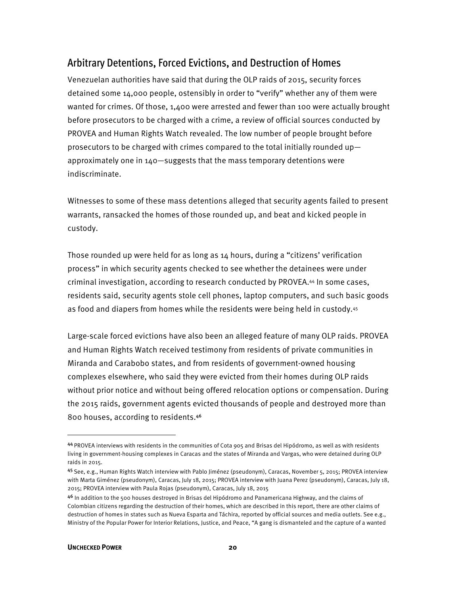## Arbitrary Detentions, Forced Evictions, and Destruction of Homes

Venezuelan authorities have said that during the OLP raids of 2015, security forces detained some 14,000 people, ostensibly in order to "verify" whether any of them were wanted for crimes. Of those, 1,400 were arrested and fewer than 100 were actually brought before prosecutors to be charged with a crime, a review of official sources conducted by PROVEA and Human Rights Watch revealed. The low number of people brought before prosecutors to be charged with crimes compared to the total initially rounded up approximately one in 140—suggests that the mass temporary detentions were indiscriminate.

Witnesses to some of these mass detentions alleged that security agents failed to present warrants, ransacked the homes of those rounded up, and beat and kicked people in custody.

Those rounded up were held for as long as 14 hours, during a "citizens' verification process" in which security agents checked to see whether the detainees were under criminal investigation, according to research conducted by PROVEA.44 In some cases, residents said, security agents stole cell phones, laptop computers, and such basic goods as food and diapers from homes while the residents were being held in custody.45

Large-scale forced evictions have also been an alleged feature of many OLP raids. PROVEA and Human Rights Watch received testimony from residents of private communities in Miranda and Carabobo states, and from residents of government-owned housing complexes elsewhere, who said they were evicted from their homes during OLP raids without prior notice and without being offered relocation options or compensation. During the 2015 raids, government agents evicted thousands of people and destroyed more than 800 houses, according to residents.<sup>46</sup>

**.** 

<sup>44</sup> PROVEA interviews with residents in the communities of Cota 905 and Brisas del Hipódromo, as well as with residents living in government-housing complexes in Caracas and the states of Miranda and Vargas, who were detained during OLP raids in 2015.

<sup>45</sup> See, e.g., Human Rights Watch interview with Pablo Jiménez (pseudonym), Caracas, November 5, 2015; PROVEA interview with Marta Giménez (pseudonym), Caracas, July 18, 2015; PROVEA interview with Juana Perez (pseudonym), Caracas, July 18, 2015; PROVEA interview with Paula Rojas (pseudonym), Caracas, July 18, 2015

<sup>46</sup> In addition to the 500 houses destroyed in Brisas del Hipódromo and Panamericana Highway, and the claims of Colombian citizens regarding the destruction of their homes, which are described in this report, there are other claims of destruction of homes in states such as Nueva Esparta and Táchira, reported by official sources and media outlets. See e.g., Ministry of the Popular Power for Interior Relations, Justice, and Peace, "A gang is dismanteled and the capture of a wanted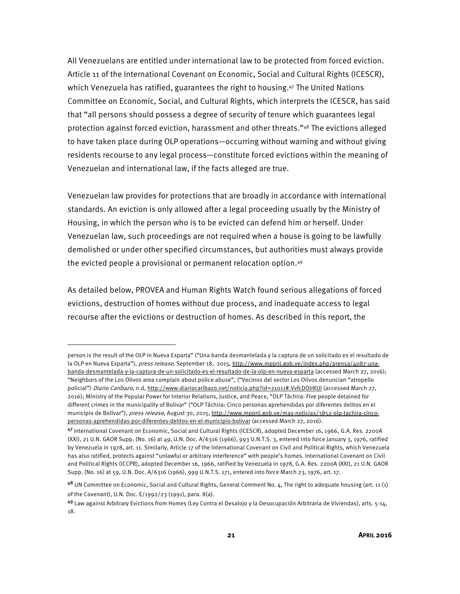All Venezuelans are entitled under international law to be protected from forced eviction. Article 11 of the International Covenant on Economic, Social and Cultural Rights (ICESCR), which Venezuela has ratified, guarantees the right to housing.47 The United Nations Committee on Economic, Social, and Cultural Rights, which interprets the ICESCR, has said that "all persons should possess a degree of security of tenure which guarantees legal protection against forced eviction, harassment and other threats."48 The evictions alleged to have taken place during OLP operations—occurring without warning and without giving residents recourse to any legal process—constitute forced evictions within the meaning of Venezuelan and international law, if the facts alleged are true.

Venezuelan law provides for protections that are broadly in accordance with international standards. An eviction is only allowed after a legal proceeding usually by the Ministry of Housing, in which the person who is to be evicted can defend him or herself. Under Venezuelan law, such proceedings are not required when a house is going to be lawfully demolished or under other specified circumstances, but authorities must always provide the evicted people a provisional or permanent relocation option.49

As detailed below, PROVEA and Human Rights Watch found serious allegations of forced evictions, destruction of homes without due process, and inadequate access to legal recourse after the evictions or destruction of homes. As described in this report, the

person is the result of the OLP in Nueva Esparta" ("Una banda desmantelada y la captura de un solicitado es el resultado de la OLP en Nueva Esparta"), press release, September 18, 2015, http://www.mpprij.gob.ve/index.php/prensa/4087-unabanda-desmantelada-y-la-captura-de-un-solicitado-es-el-resultado-de-la-olp-en-nueva-esparta (accessed March 27, 2016); "Neighbors of the Los Olivos area complain about police abuse", ("Vecinos del sector Los Olivos denuncian "atropello policial") Diario Caribazo, n.d, http://www.diariocaribazo.net/noticia.php?id=21011#.VvfcDOIrKUI (accessed March 27, 2016); Ministry of the Popular Power for Interior Relations, Justice, and Peace, "OLP Táchira: Five people detained for different crimes in the municipality of Bolivar" ("OLP Táchira: Cinco personas aprehendidas por diferentes delitos en el municipio de Bolívar"), press release, August 30, 2015, http://www.mpprij.gob.ve/mas-noticias/3852-olp-tachira-cincopersonas-aprehendidas-por-diferentes-delitos-en-el-municipio-bolivar (accessed March 27, 2016).

<sup>47</sup>International Covenant on Economic, Social and Cultural Rights (ICESCR), adopted December 16, 1966, G.A. Res. 2200A (XXI), 21 U.N. GAOR Supp. (No. 16) at 49, U.N. Doc. A/6316 (1966), 993 U.N.T.S. 3, entered into force January 3, 1976, ratified by Venezuela in 1978, art. 11. Similarly, Article 17 of the International Covenant on Civil and Political Rights, which Venezuela has also ratified, protects against "unlawful or arbitrary interference" with people's homes. International Covenant on Civil and Political Rights (ICCPR), adopted December 16, 1966, ratified by Venezuela in 1978, G.A. Res. 2200A (XXI), 21 U.N. GAOR Supp. (No. 16) at 59, U.N. Doc. A/6316 (1966), 999 U.N.T.S. 171, entered into force March 23, 1976, art. 17.

<sup>48</sup> UN Committee on Economic, Social and Cultural Rights, General Comment No. 4, The right to adequate housing (art. 11 (1) of the Covenant), U.N. Doc. E/1992/23 (1991), para. 8(a).

<sup>49</sup> Law against Arbitrary Evictions from Homes (Ley Contra el Desalojo y la Desocupación Arbitraria de Viviendas), arts. 5-14, 18.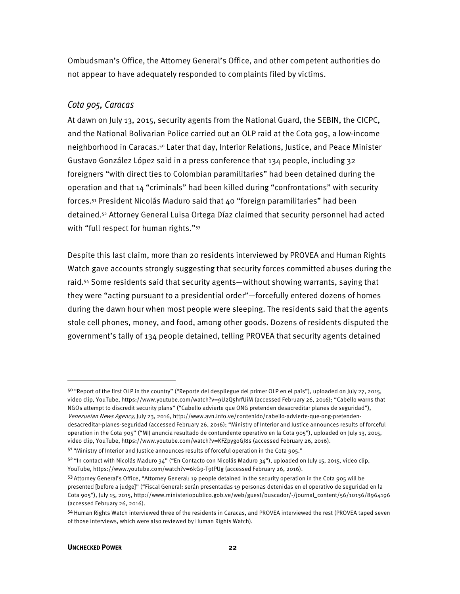Ombudsman's Office, the Attorney General's Office, and other competent authorities do not appear to have adequately responded to complaints filed by victims.

#### Cota 905, Caracas

At dawn on July 13, 2015, security agents from the National Guard, the SEBIN, the CICPC, and the National Bolivarian Police carried out an OLP raid at the Cota 905, a low-income neighborhood in Caracas.50 Later that day, Interior Relations, Justice, and Peace Minister Gustavo González López said in a press conference that 134 people, including 32 foreigners "with direct ties to Colombian paramilitaries" had been detained during the operation and that 14 "criminals" had been killed during "confrontations" with security forces.51 President Nicolás Maduro said that 40 "foreign paramilitaries" had been detained.52 Attorney General Luisa Ortega Díaz claimed that security personnel had acted with "full respect for human rights."<sup>53</sup>

Despite this last claim, more than 20 residents interviewed by PROVEA and Human Rights Watch gave accounts strongly suggesting that security forces committed abuses during the raid.54 Some residents said that security agents—without showing warrants, saying that they were "acting pursuant to a presidential order"—forcefully entered dozens of homes during the dawn hour when most people were sleeping. The residents said that the agents stole cell phones, money, and food, among other goods. Dozens of residents disputed the government's tally of 134 people detained, telling PROVEA that security agents detained

<sup>50 &</sup>quot;Report of the first OLP in the country" ("Reporte del despliegue del primer OLP en el país"), uploaded on July 27, 2015, video clip, YouTube, https://www.youtube.com/watch?v=9U2Q5hrfUiM (accessed February 26, 2016); "Cabello warns that NGOs attempt to discredit security plans" ("Cabello advierte que ONG pretenden desacreditar planes de seguridad"), Venezuelan News Agency, July 23, 2016, http://www.avn.info.ve/contenido/cabello-advierte-que-ong-pretendendesacreditar-planes-seguridad (accessed February 26, 2016); "Ministry of Interior and Justice announces results of forceful operation in the Cota 905" ("MIJ anuncia resultado de contundente operativo en la Cota 905"), uploaded on July 13, 2015, video clip, YouTube, https://www.youtube.com/watch?v=KFZpygoGJ8s (accessed February 26, 2016).

<sup>51 &</sup>quot;Ministry of Interior and Justice announces results of forceful operation in the Cota 905."

<sup>52 &</sup>quot;In contact with Nicolás Maduro 34" ("En Contacto con Nicolás Maduro 34"), uploaded on July 15, 2015, video clip, YouTube, https://www.youtube.com/watch?v=6kG9-T9tPUg (accessed February 26, 2016).

<sup>53</sup> Attorney General's Office, "Attorney General: 19 people detained in the security operation in the Cota 905 will be presented [before a judge]" ("Fiscal General: serán presentadas 19 personas detenidas en el operativo de seguridad en la Cota 905"), July 15, 2015, http://www.ministeriopublico.gob.ve/web/guest/buscador/-/journal\_content/56/10136/8964196 (accessed February 26, 2016).

<sup>54</sup> Human Rights Watch interviewed three of the residents in Caracas, and PROVEA interviewed the rest (PROVEA taped seven of those interviews, which were also reviewed by Human Rights Watch).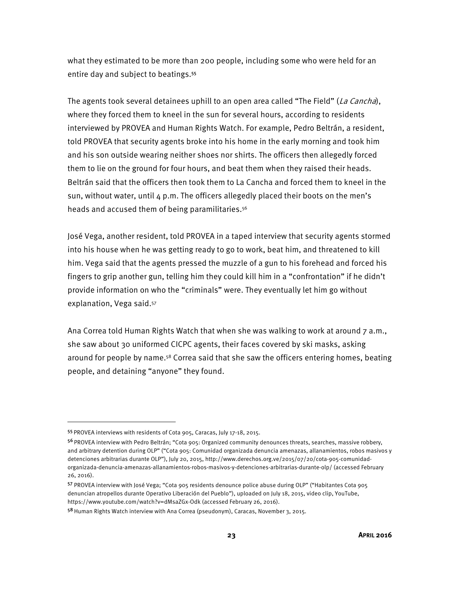what they estimated to be more than 200 people, including some who were held for an entire day and subject to beatings.<sup>55</sup>

The agents took several detainees uphill to an open area called "The Field" (La Cancha), where they forced them to kneel in the sun for several hours, according to residents interviewed by PROVEA and Human Rights Watch. For example, Pedro Beltrán, a resident, told PROVEA that security agents broke into his home in the early morning and took him and his son outside wearing neither shoes nor shirts. The officers then allegedly forced them to lie on the ground for four hours, and beat them when they raised their heads. Beltrán said that the officers then took them to La Cancha and forced them to kneel in the sun, without water, until  $4 \text{ p.m.}$  The officers allegedly placed their boots on the men's heads and accused them of being paramilitaries.56

José Vega, another resident, told PROVEA in a taped interview that security agents stormed into his house when he was getting ready to go to work, beat him, and threatened to kill him. Vega said that the agents pressed the muzzle of a gun to his forehead and forced his fingers to grip another gun, telling him they could kill him in a "confrontation" if he didn't provide information on who the "criminals" were. They eventually let him go without explanation, Vega said.<sup>57</sup>

Ana Correa told Human Rights Watch that when she was walking to work at around 7 a.m., she saw about 30 uniformed CICPC agents, their faces covered by ski masks, asking around for people by name.58 Correa said that she saw the officers entering homes, beating people, and detaining "anyone" they found.

 $\overline{a}$ 

<sup>55</sup>PROVEA interviews with residents of Cota 905, Caracas, July 17-18, 2015.

<sup>56</sup> PROVEA interview with Pedro Beltrán; "Cota 905: Organized community denounces threats, searches, massive robbery, and arbitrary detention during OLP" ("Cota 905: Comunidad organizada denuncia amenazas, allanamientos, robos masivos y detenciones arbitrarias durante OLP"), July 20, 2015, http://www.derechos.org.ve/2015/07/20/cota-905-comunidadorganizada-denuncia-amenazas-allanamientos-robos-masivos-y-detenciones-arbitrarias-durante-olp/ (accessed February 26, 2016).

<sup>57</sup> PROVEA interview with José Vega; "Cota 905 residents denounce police abuse during OLP" ("Habitantes Cota 905 denuncian atropellos durante Operativo Liberación del Pueblo"), uploaded on July 18, 2015, video clip, YouTube, https://www.youtube.com/watch?v=dMsaZGx-Odk (accessed February 26, 2016).

<sup>58</sup> Human Rights Watch interview with Ana Correa (pseudonym), Caracas, November 3, 2015.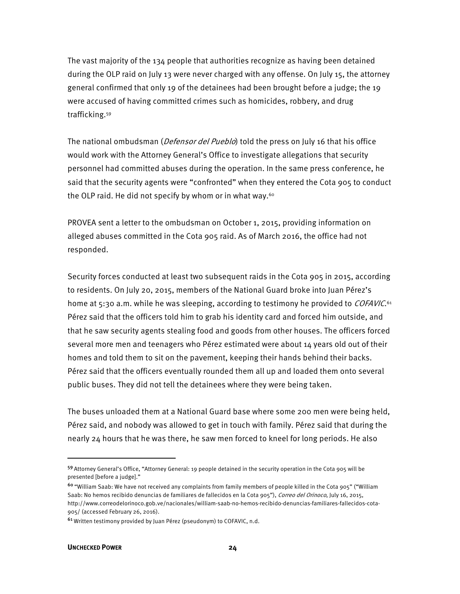The vast majority of the 134 people that authorities recognize as having been detained during the OLP raid on July 13 were never charged with any offense. On July 15, the attorney general confirmed that only 19 of the detainees had been brought before a judge; the 19 were accused of having committed crimes such as homicides, robbery, and drug trafficking.59

The national ombudsman (*Defensor del Pueblo*) told the press on July 16 that his office would work with the Attorney General's Office to investigate allegations that security personnel had committed abuses during the operation. In the same press conference, he said that the security agents were "confronted" when they entered the Cota 905 to conduct the OLP raid. He did not specify by whom or in what way.<sup>60</sup>

PROVEA sent a letter to the ombudsman on October 1, 2015, providing information on alleged abuses committed in the Cota 905 raid. As of March 2016, the office had not responded.

Security forces conducted at least two subsequent raids in the Cota 905 in 2015, according to residents. On July 20, 2015, members of the National Guard broke into Juan Pérez's home at 5:30 a.m. while he was sleeping, according to testimony he provided to *COFAVIC*.<sup>61</sup> Pérez said that the officers told him to grab his identity card and forced him outside, and that he saw security agents stealing food and goods from other houses. The officers forced several more men and teenagers who Pérez estimated were about 14 years old out of their homes and told them to sit on the pavement, keeping their hands behind their backs. Pérez said that the officers eventually rounded them all up and loaded them onto several public buses. They did not tell the detainees where they were being taken.

The buses unloaded them at a National Guard base where some 200 men were being held, Pérez said, and nobody was allowed to get in touch with family. Pérez said that during the nearly 24 hours that he was there, he saw men forced to kneel for long periods. He also

<sup>59</sup>Attorney General's Office, "Attorney General: 19 people detained in the security operation in the Cota 905 will be presented [before a judge]."

<sup>60</sup>"William Saab: We have not received any complaints from family members of people killed in the Cota 905" ("William Saab: No hemos recibido denuncias de familiares de fallecidos en la Cota 905"), Correo del Orinoco, July 16, 2015, http://www.correodelorinoco.gob.ve/nacionales/william-saab-no-hemos-recibido-denuncias-familiares-fallecidos-cota-905/ (accessed February 26, 2016).

<sup>61</sup>Written testimony provided by Juan Pérez (pseudonym) to COFAVIC, n.d.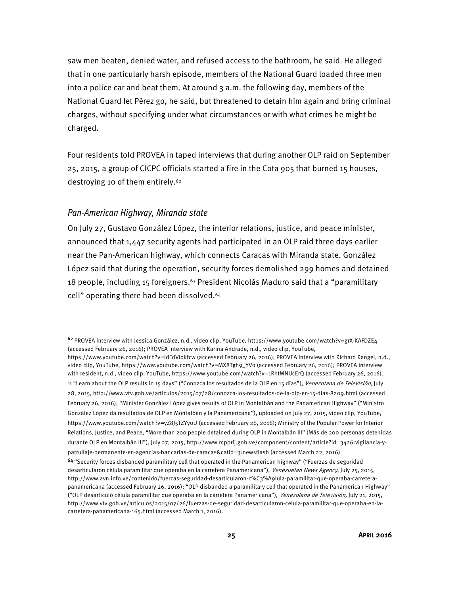saw men beaten, denied water, and refused access to the bathroom, he said. He alleged that in one particularly harsh episode, members of the National Guard loaded three men into a police car and beat them. At around  $3$  a.m. the following day, members of the National Guard let Pérez go, he said, but threatened to detain him again and bring criminal charges, without specifying under what circumstances or with what crimes he might be charged.

Four residents told PROVEA in taped interviews that during another OLP raid on September 25, 2015, a group of CICPC officials started a fire in the Cota 905 that burned 15 houses, destroying 10 of them entirely.62

#### Pan-American Highway, Miranda state

**.** 

On July 27, Gustavo González López, the interior relations, justice, and peace minister, announced that 1,447 security agents had participated in an OLP raid three days earlier near the Pan-American highway, which connects Caracas with Miranda state. González López said that during the operation, security forces demolished 299 homes and detained 18 people, including 15 foreigners.63 President Nicolás Maduro said that a "paramilitary cell" operating there had been dissolved.64

<sup>62</sup>PROVEA interview with Jessica González, n.d., video clip, YouTube, https://www.youtube.com/watch?v=grX-KAFDZE4 (accessed February 26, 2016); PROVEA interview with Karina Andrade, n.d., video clip, YouTube,

https://www.youtube.com/watch?v=idFdViokfcw (accessed February 26, 2016); PROVEA interview with Richard Rangel, n.d., video clip, YouTube, https://www.youtube.com/watch?v=MX8Tgh9\_YVo (accessed February 26, 2016); PROVEA interview with resident, n.d., video clip, YouTube, https://www.youtube.com/watch?v=1RhtMNUcErQ (accessed February 26, 2016). <sup>63</sup> "Learn about the OLP results in 15 days" ("Conozca los resultados de la OLP en 15 días"), Venezolana de Televisión, July 28, 2015, http://www.vtv.gob.ve/articulos/2015/07/28/conozca-los-resultados-de-la-olp-en-15-dias-8209.html (accessed February 26, 2016); "Minister González López gives results of OLP in Montalbán and the Panamerican Highway" ("Ministro González López da resultados de OLP en Montalbán y la Panamericana"), uploaded on July 27, 2015, video clip, YouTube, https://www.youtube.com/watch?v=yZ8J5TZYy0U (accessed February 26, 2016); Ministry of the Popular Power for Interior Relations, Justice, and Peace, "More than 200 people detained during OLP in Montalbán III" (Más de 200 personas detenidas durante OLP en Montalbán III"), July 27, 2015, http://www.mpprij.gob.ve/component/content/article?id=3426:vigilancia-ypatrullaje-permanente-en-agencias-bancarias-de-caracas&catid=3:newsflash (accessed March 22, 2016).

<sup>64</sup>"Security forces disbanded paramilitary cell that operated in the Panamerican highway" ("Fuerzas de seguridad desarticularon célula paramilitar que operaba en la carretera Panamericana"), Venezuelan News Agency, July 25, 2015, http://www.avn.info.ve/contenido/fuerzas-seguridad-desarticularon-c%C3%A9lula-paramilitar-que-operaba-carreterapanamericana (accessed February 26, 2016); "OLP disbanded a paramilitary cell that operated in the Panamerican Highway" ("OLP desarticuló célula paramilitar que operaba en la carretera Panamericana"), Venezolana de Televisión, July 21, 2015, http://www.vtv.gob.ve/articulos/2015/07/26/fuerzas-de-seguridad-desarticularon-celula-paramilitar-que-operaba-en-lacarretera-panamericana-165.html (accessed March 1, 2016).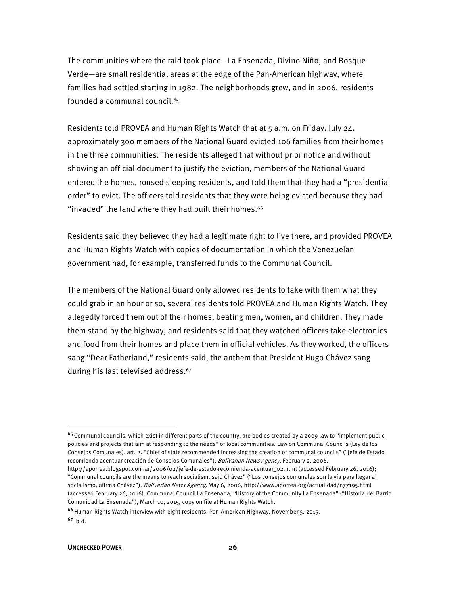The communities where the raid took place—La Ensenada, Divino Niño, and Bosque Verde—are small residential areas at the edge of the Pan-American highway, where families had settled starting in 1982. The neighborhoods grew, and in 2006, residents founded a communal council.<sup>65</sup>

Residents told PROVEA and Human Rights Watch that at 5 a.m. on Friday, July 24, approximately 300 members of the National Guard evicted 106 families from their homes in the three communities. The residents alleged that without prior notice and without showing an official document to justify the eviction, members of the National Guard entered the homes, roused sleeping residents, and told them that they had a "presidential order" to evict. The officers told residents that they were being evicted because they had "invaded" the land where they had built their homes.<sup>66</sup>

Residents said they believed they had a legitimate right to live there, and provided PROVEA and Human Rights Watch with copies of documentation in which the Venezuelan government had, for example, transferred funds to the Communal Council.

The members of the National Guard only allowed residents to take with them what they could grab in an hour or so, several residents told PROVEA and Human Rights Watch. They allegedly forced them out of their homes, beating men, women, and children. They made them stand by the highway, and residents said that they watched officers take electronics and food from their homes and place them in official vehicles. As they worked, the officers sang "Dear Fatherland," residents said, the anthem that President Hugo Chávez sang during his last televised address.<sup>67</sup>

**.** 

<sup>&</sup>lt;sup>65</sup> Communal councils, which exist in different parts of the country, are bodies created by a 2009 law to "implement public policies and projects that aim at responding to the needs" of local communities. Law on Communal Councils (Ley de los Consejos Comunales), art. 2. "Chief of state recommended increasing the creation of communal councils" ("Jefe de Estado recomienda acentuar creación de Consejos Comunales"), Bolivarian News Agency, February 2, 2006,

http://aporrea.blogspot.com.ar/2006/02/jefe-de-estado-recomienda-acentuar\_02.html (accessed February 26, 2016); "Communal councils are the means to reach socialism, said Chávez" ("Los consejos comunales son la vía para llegar al socialismo, afirma Chávez"), *Bolivarian News Agency*, May 6, 2006, http://www.aporrea.org/actualidad/n77195.html (accessed February 26, 2016). Communal Council La Ensenada, "History of the Community La Ensenada" ("Historia del Barrio Comunidad La Ensenada"), March 10, 2015, copy on file at Human Rights Watch.

<sup>66</sup> Human Rights Watch interview with eight residents, Pan-American Highway, November 5, 2015.  $67$  Ibid.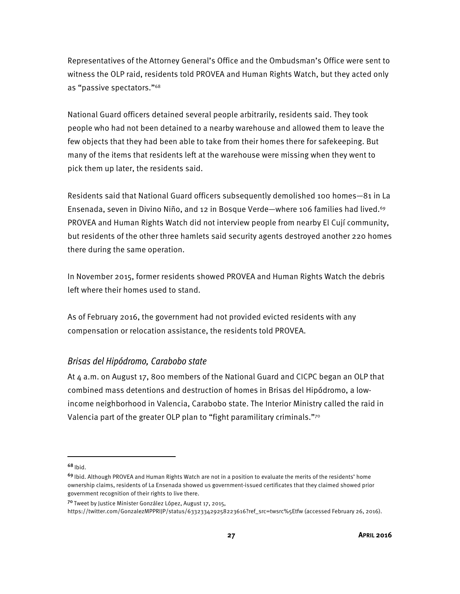Representatives of the Attorney General's Office and the Ombudsman's Office were sent to witness the OLP raid, residents told PROVEA and Human Rights Watch, but they acted only as "passive spectators."68

National Guard officers detained several people arbitrarily, residents said. They took people who had not been detained to a nearby warehouse and allowed them to leave the few objects that they had been able to take from their homes there for safekeeping. But many of the items that residents left at the warehouse were missing when they went to pick them up later, the residents said.

Residents said that National Guard officers subsequently demolished 100 homes—81 in La Ensenada, seven in Divino Niño, and 12 in Bosque Verde—where 106 families had lived.69 PROVEA and Human Rights Watch did not interview people from nearby El Cují community, but residents of the other three hamlets said security agents destroyed another 220 homes there during the same operation.

In November 2015, former residents showed PROVEA and Human Rights Watch the debris left where their homes used to stand.

As of February 2016, the government had not provided evicted residents with any compensation or relocation assistance, the residents told PROVEA.

#### Brisas del Hipódromo, Carabobo state

At 4 a.m. on August 17, 800 members of the National Guard and CICPC began an OLP that combined mass detentions and destruction of homes in Brisas del Hipódromo, a lowincome neighborhood in Valencia, Carabobo state. The Interior Ministry called the raid in Valencia part of the greater OLP plan to "fight paramilitary criminals."70

 $68$ <sub>Ibid.</sub>

**.** 

https://twitter.com/GonzalezMPPRIJP/status/633233429258223616?ref\_src=twsrc%5Etfw (accessed February 26, 2016).

<sup>&</sup>lt;sup>69</sup> Ibid. Although PROVEA and Human Rights Watch are not in a position to evaluate the merits of the residents' home ownership claims, residents of La Ensenada showed us government-issued certificates that they claimed showed prior government recognition of their rights to live there.

<sup>70</sup>Tweet by Justice Minister González López, August 17, 2015,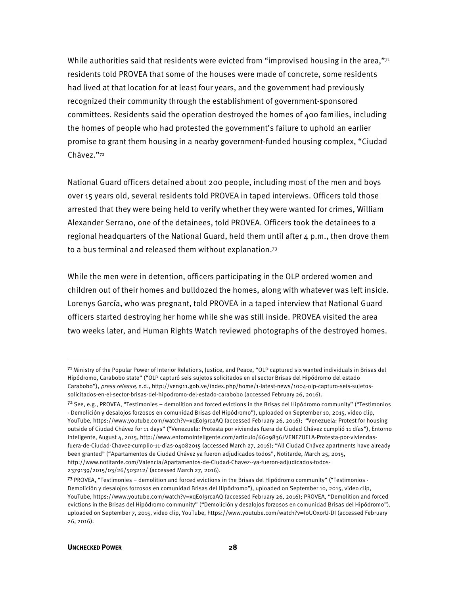While authorities said that residents were evicted from "improvised housing in the area," $71$ residents told PROVEA that some of the houses were made of concrete, some residents had lived at that location for at least four years, and the government had previously recognized their community through the establishment of government-sponsored committees. Residents said the operation destroyed the homes of 400 families, including the homes of people who had protested the government's failure to uphold an earlier promise to grant them housing in a nearby government-funded housing complex, "Ciudad Chávez."72

National Guard officers detained about 200 people, including most of the men and boys over 15 years old, several residents told PROVEA in taped interviews. Officers told those arrested that they were being held to verify whether they were wanted for crimes, William Alexander Serrano, one of the detainees, told PROVEA. Officers took the detainees to a regional headquarters of the National Guard, held them until after  $4 \text{ p.m.}$ , then drove them to a bus terminal and released them without explanation.73

While the men were in detention, officers participating in the OLP ordered women and children out of their homes and bulldozed the homes, along with whatever was left inside. Lorenys García, who was pregnant, told PROVEA in a taped interview that National Guard officers started destroying her home while she was still inside. PROVEA visited the area two weeks later, and Human Rights Watch reviewed photographs of the destroyed homes.

2379139/2015/03/26/503212/ (accessed March 27, 2016).

l

<sup>7&</sup>lt;sup>1</sup> Ministry of the Popular Power of Interior Relations, Justice, and Peace, "OLP captured six wanted individuals in Brisas del Hipódromo, Carabobo state" ("OLP capturó seis sujetos solicitados en el sector Brisas del Hipódromo del estado Carabobo"), press release, n.d., http://ven911.gob.ve/index.php/home/1-latest-news/1004-olp-capturo-seis-sujetossolicitados-en-el-sector-brisas-del-hipodromo-del-estado-carabobo (accessed February 26, 2016).

 $72$  See, e.g., PROVEA, "Testimonies – demolition and forced evictions in the Brisas del Hipódromo community" ("Testimonios - Demolición y desalojos forzosos en comunidad Brisas del Hipódromo"), uploaded on September 10, 2015, video clip, YouTube, https://www.youtube.com/watch?v=xqE0I9rcaAQ (accessed February 26, 2016); "Venezuela: Protest for housing outside of Ciudad Chávez for 11 days" ("Venezuela: Protesta por viviendas fuera de Ciudad Chávez cumplió 11 días"), Entorno Inteligente, August 4, 2015, http://www.entornointeligente.com/articulo/6609836/VENEZUELA-Protesta-por-viviendasfuera-de-Ciudad-Chavez-cumplio-11-dias-04082015 (accessed March 27, 2016); "All Ciudad Chávez apartments have already been granted" ("Apartamentos de Ciudad Chávez ya fueron adjudicados todos", Notitarde, March 25, 2015, http://www.notitarde.com/Valencia/Apartamentos-de-Ciudad-Chavez--ya-fueron-adjudicados-todos-

<sup>73</sup> PROVEA, "Testimonies - demolition and forced evictions in the Brisas del Hipódromo community" ("Testimonios -Demolición y desalojos forzosos en comunidad Brisas del Hipódromo"), uploaded on September 10, 2015, video clip, YouTube, https://www.youtube.com/watch?v=xqE0I9rcaAQ (accessed February 26, 2016); PROVEA, "Demolition and forced evictions in the Brisas del Hipódromo community" ("Demolición y desalojos forzosos en comunidad Brisas del Hipódromo"), uploaded on September 7, 2015, video clip, YouTube, https://www.youtube.com/watch?v=I0UOxorU-DI (accessed February 26, 2016).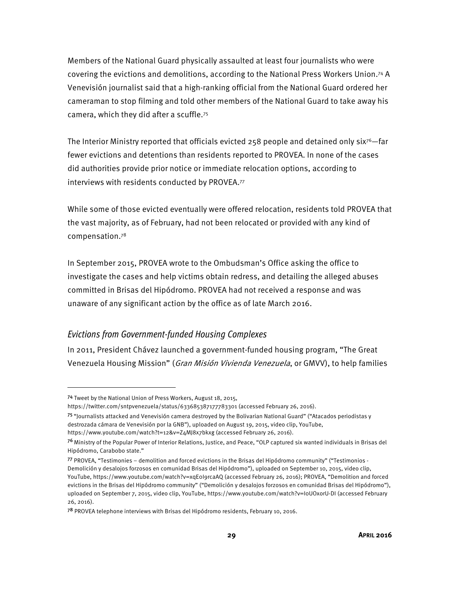Members of the National Guard physically assaulted at least four journalists who were covering the evictions and demolitions, according to the National Press Workers Union.74 A Venevisión journalist said that a high-ranking official from the National Guard ordered her cameraman to stop filming and told other members of the National Guard to take away his camera, which they did after a scuffle.75

The Interior Ministry reported that officials evicted 258 people and detained only six<sup>76</sup>—far fewer evictions and detentions than residents reported to PROVEA. In none of the cases did authorities provide prior notice or immediate relocation options, according to interviews with residents conducted by PROVEA.77

While some of those evicted eventually were offered relocation, residents told PROVEA that the vast majority, as of February, had not been relocated or provided with any kind of compensation.78

In September 2015, PROVEA wrote to the Ombudsman's Office asking the office to investigate the cases and help victims obtain redress, and detailing the alleged abuses committed in Brisas del Hipódromo. PROVEA had not received a response and was unaware of any significant action by the office as of late March 2016.

#### Evictions from Government-funded Housing Complexes

In 2011, President Chávez launched a government-funded housing program, "The Great Venezuela Housing Mission" (Gran Misión Vivienda Venezuela, or GMVV), to help families

<sup>74</sup> Tweet by the National Union of Press Workers, August 18, 2015,

https://twitter.com/sntpvenezuela/status/633685387177783301 (accessed February 26, 2016).

<sup>75</sup>"Journalists attacked and Venevisión camera destroyed by the Bolivarian National Guard" ("Atacados periodistas y destrozada cámara de Venevisión por la GNB"), uploaded on August 19, 2015, video clip, YouTube,

https://www.youtube.com/watch?t=12&v=Z4MJ8x7bkxg (accessed February 26, 2016).

<sup>&</sup>lt;sup>76</sup> Ministry of the Popular Power of Interior Relations, Justice, and Peace, "OLP captured six wanted individuals in Brisas del Hipódromo, Carabobo state."

<sup>77</sup> PROVEA, "Testimonies – demolition and forced evictions in the Brisas del Hipódromo community" ("Testimonios - Demolición y desalojos forzosos en comunidad Brisas del Hipódromo"), uploaded on September 10, 2015, video clip, YouTube, https://www.youtube.com/watch?v=xqE0I9rcaAQ (accessed February 26, 2016); PROVEA, "Demolition and forced evictions in the Brisas del Hipódromo community" ("Demolición y desalojos forzosos en comunidad Brisas del Hipódromo"), uploaded on September 7, 2015, video clip, YouTube, https://www.youtube.com/watch?v=I0UOxorU-DI (accessed February 26, 2016).

<sup>78</sup> PROVEA telephone interviews with Brisas del Hipódromo residents, February 10, 2016.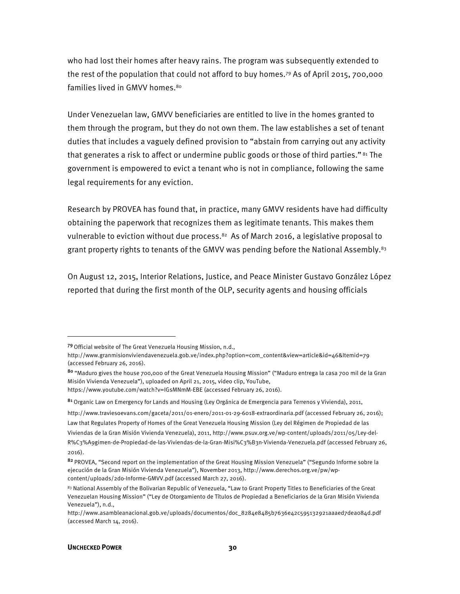who had lost their homes after heavy rains. The program was subsequently extended to the rest of the population that could not afford to buy homes.79 As of April 2015, 700,000 families lived in GMVV homes.80

Under Venezuelan law, GMVV beneficiaries are entitled to live in the homes granted to them through the program, but they do not own them. The law establishes a set of tenant duties that includes a vaguely defined provision to "abstain from carrying out any activity that generates a risk to affect or undermine public goods or those of third parties." <sup>81</sup> The government is empowered to evict a tenant who is not in compliance, following the same legal requirements for any eviction.

Research by PROVEA has found that, in practice, many GMVV residents have had difficulty obtaining the paperwork that recognizes them as legitimate tenants. This makes them vulnerable to eviction without due process.<sup>82</sup> As of March 2016, a legislative proposal to grant property rights to tenants of the GMVV was pending before the National Assembly.<sup>83</sup>

On August 12, 2015, Interior Relations, Justice, and Peace Minister Gustavo González López reported that during the first month of the OLP, security agents and housing officials

<u>.</u>

<sup>79</sup>Official website of The Great Venezuela Housing Mission, n.d.,

http://www.granmisionviviendavenezuela.gob.ve/index.php?option=com\_content&view=article&id=46&Itemid=79 (accessed February 26, 2016).

<sup>80</sup>"Maduro gives the house 700,000 of the Great Venezuela Housing Mission" ("Maduro entrega la casa 700 mil de la Gran Misión Vivienda Venezuela"), uploaded on April 21, 2015, video clip, YouTube, https://www.youtube.com/watch?v=IGsMNmM-EBE (accessed February 26, 2016).

<sup>81</sup> Organic Law on Emergency for Lands and Housing (Ley Orgánica de Emergencia para Terrenos y Vivienda), 2011,

http://www.traviesoevans.com/gaceta/2011/01-enero/2011-01-29-6018-extraordinaria.pdf (accessed February 26, 2016);

Law that Regulates Property of Homes of the Great Venezuela Housing Mission (Ley del Régimen de Propiedad de las

Viviendas de la Gran Misión Vivienda Venezuela), 2011, http://www.psuv.org.ve/wp-content/uploads/2011/05/Ley-del-

R%C3%A9gimen-de-Propiedad-de-las-Viviendas-de-la-Gran-Misi%C3%B3n-Vivienda-Venezuela.pdf (accessed February 26, 2016).

<sup>82</sup> PROVEA, "Second report on the implementation of the Great Housing Mission Venezuela" ("Segundo Informe sobre la ejecución de la Gran Misión Vivienda Venezuela"), November 2013, http://www.derechos.org.ve/pw/wpcontent/uploads/2do-Informe-GMVV.pdf (accessed March 27, 2016).

<sup>83</sup> National Assembly of the Bolivarian Republic of Venezuela, "Law to Grant Property Titles to Beneficiaries of the Great Venezuelan Housing Mission" ("Ley de Otorgamiento de Títulos de Propiedad a Beneficiarios de la Gran Misión Vivienda Venezuela"), n.d.,

http://www.asambleanacional.gob.ve/uploads/documentos/doc\_8284e8485b7636e42c595132921aaaed7dea084d.pdf (accessed March 14, 2016).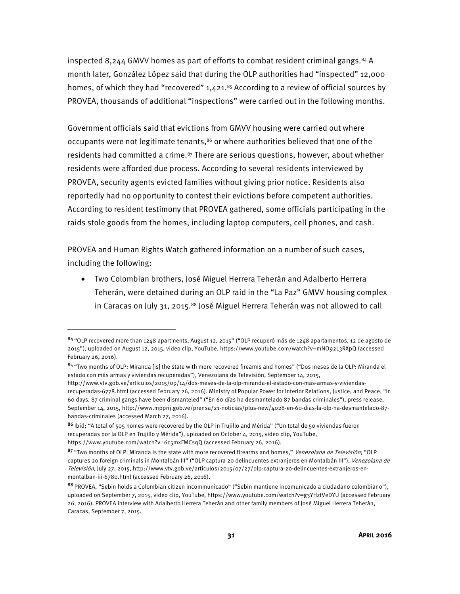inspected 8,244 GMVV homes as part of efforts to combat resident criminal gangs. $84$  A month later, González López said that during the OLP authorities had "inspected" 12,000 homes, of which they had "recovered"  $1,421.^{85}$  According to a review of official sources by PROVEA, thousands of additional "inspections" were carried out in the following months.

Government officials said that evictions from GMVV housing were carried out where occupants were not legitimate tenants,<sup>86</sup> or where authorities believed that one of the residents had committed a crime.<sup>87</sup> There are serious questions, however, about whether residents were afforded due process. According to several residents interviewed by PROVEA, security agents evicted families without giving prior notice. Residents also reportedly had no opportunity to contest their evictions before competent authorities. According to resident testimony that PROVEA gathered, some officials participating in the raids stole goods from the homes, including laptop computers, cell phones, and cash.

PROVEA and Human Rights Watch gathered information on a number of such cases, including the following:

<u>.</u>

• Two Colombian brothers, José Miguel Herrera Teherán and Adalberto Herrera Teherán, were detained during an OLP raid in the "La Paz" GMVV housing complex in Caracas on July 31, 2015.88 José Miguel Herrera Teherán was not allowed to call

<sup>84</sup>"OLP recovered more than 1248 apartments, August 12, 2015" ("OLP recuperó más de 1248 apartamentos, 12 de agosto de 2015"), uploaded on August 12, 2015, video clip, YouTube, https://www.youtube.com/watch?v=mNO92L3RXpQ (accessed February 26, 2016).

<sup>85 &</sup>quot;Two months of OLP: Miranda [is] the state with more recovered firearms and homes" ("Dos meses de la OLP: Miranda el estado con más armas y viviendas recuperadas"), Venezolana de Televisión, September 14, 2015,

http://www.vtv.gob.ve/articulos/2015/09/14/dos-meses-de-la-olp-miranda-el-estado-con-mas-armas-y-viviendasrecuperadas-6778.html (accessed February 26, 2016). Ministry of Popular Power for Interior Relations, Justice, and Peace, "In 60 days, 87 criminal gangs have been dismanteled" ("En 60 días ha desmantelado 87 bandas criminales"), press release, September 14, 2015, http://www.mpprij.gob.ve/prensa/21-noticias/plus-new/4028-en-60-dias-la-olp-ha-desmantelado-87 bandas-criminales (accessed March 27, 2016).

<sup>86</sup> Ibid: "A total of 505 homes were recovered by the OLP in Trujillo and Mérida" ("Un total de 50 viviendas fueron recuperadas por la OLP en Trujillo y Mérida"), uploaded on October 4, 2015, video clip, YouTube, https://www.youtube.com/watch?v=6c5mxFMCsqQ (accessed February 26, 2016).

<sup>87 &</sup>quot;Two months of OLP: Miranda is the state with more recovered firearms and homes," Venezolana de Televisión; "OLP captures 20 foreign criminals in Montalbán III" ("OLP captura 20 delincuentes extranjeros en Montalbán III"), Venezolana de Televisión, July 27, 2015, http://www.vtv.gob.ve/articulos/2015/07/27/olp-captura-20-delincuentes-extranjeros-enmontalban-iii-6780.html (accessed February 26, 2016).

<sup>88</sup> PROVEA, "Sebin holds a Colombian citizen incommunicado" ("Sebin mantiene incomunicado a ciudadano colombiano"), uploaded on September 7, 2015, video clip, YouTube, https://www.youtube.com/watch?v=g3YHztVeDYU (accessed February 26, 2016). PROVEA interview with Adalberto Herrera Teherán and other family members of José Miguel Herrera Teherán, Caracas, September 7, 2015.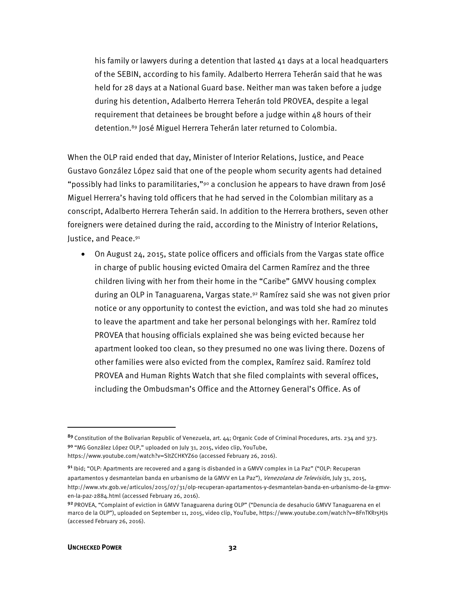his family or lawyers during a detention that lasted 41 days at a local headquarters of the SEBIN, according to his family. Adalberto Herrera Teherán said that he was held for 28 days at a National Guard base. Neither man was taken before a judge during his detention, Adalberto Herrera Teherán told PROVEA, despite a legal requirement that detainees be brought before a judge within 48 hours of their detention.89 José Miguel Herrera Teherán later returned to Colombia.

When the OLP raid ended that day, Minister of Interior Relations, Justice, and Peace Gustavo González López said that one of the people whom security agents had detained "possibly had links to paramilitaries," $90$  a conclusion he appears to have drawn from José Miguel Herrera's having told officers that he had served in the Colombian military as a conscript, Adalberto Herrera Teherán said. In addition to the Herrera brothers, seven other foreigners were detained during the raid, according to the Ministry of Interior Relations, Justice, and Peace.91

• On August 24, 2015, state police officers and officials from the Vargas state office in charge of public housing evicted Omaira del Carmen Ramírez and the three children living with her from their home in the "Caribe" GMVV housing complex during an OLP in Tanaguarena, Vargas state.92 Ramírez said she was not given prior notice or any opportunity to contest the eviction, and was told she had 20 minutes to leave the apartment and take her personal belongings with her. Ramírez told PROVEA that housing officials explained she was being evicted because her apartment looked too clean, so they presumed no one was living there. Dozens of other families were also evicted from the complex, Ramírez said. Ramírez told PROVEA and Human Rights Watch that she filed complaints with several offices, including the Ombudsman's Office and the Attorney General's Office. As of

<sup>89</sup> Constitution of the Bolivarian Republic of Venezuela, art. 44; Organic Code of Criminal Procedures, arts. 234 and 373. <sup>90</sup>"MG González López OLP," uploaded on July 31, 2015, video clip, YouTube,

https://www.youtube.com/watch?v=SltZCHKYZ6o (accessed February 26, 2016).

<sup>91</sup> Ibid; "OLP: Apartments are recovered and a gang is disbanded in a GMVV complex in La Paz" ("OLP: Recuperan apartamentos y desmantelan banda en urbanismo de la GMVV en La Paz"), Venezolana de Televisión, July 31, 2015, http://www.vtv.gob.ve/articulos/2015/07/31/olp-recuperan-apartamentos-y-desmantelan-banda-en-urbanismo-de-la-gmvven-la-paz-2884.html (accessed February 26, 2016).

<sup>92</sup> PROVEA, "Complaint of eviction in GMVV Tanaguarena during OLP" ("Denuncia de desahucio GMVV Tanaguarena en el marco de la OLP"), uploaded on September 11, 2015, video clip, YouTube, https://www.youtube.com/watch?v=8FnTKRr5HJs (accessed February 26, 2016).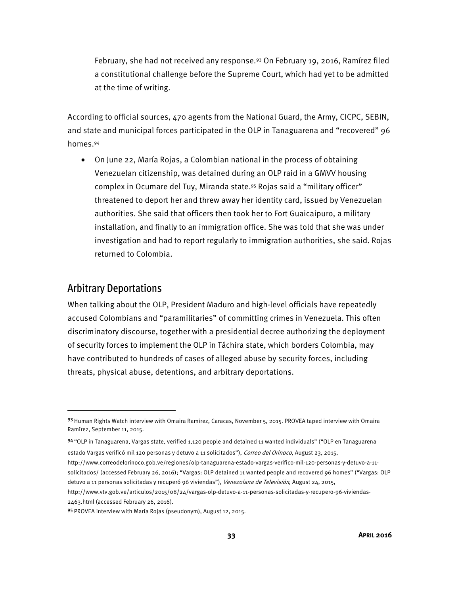February, she had not received any response.<sup>93</sup> On February 19, 2016, Ramírez filed a constitutional challenge before the Supreme Court, which had yet to be admitted at the time of writing.

According to official sources, 470 agents from the National Guard, the Army, CICPC, SEBIN, and state and municipal forces participated in the OLP in Tanaguarena and "recovered" 96 homes.94

• On June 22, María Rojas, a Colombian national in the process of obtaining Venezuelan citizenship, was detained during an OLP raid in a GMVV housing complex in Ocumare del Tuy, Miranda state.95 Rojas said a "military officer" threatened to deport her and threw away her identity card, issued by Venezuelan authorities. She said that officers then took her to Fort Guaicaipuro, a military installation, and finally to an immigration office. She was told that she was under investigation and had to report regularly to immigration authorities, she said. Rojas returned to Colombia.

### Arbitrary Deportations

l

When talking about the OLP, President Maduro and high-level officials have repeatedly accused Colombians and "paramilitaries" of committing crimes in Venezuela. This often discriminatory discourse, together with a presidential decree authorizing the deployment of security forces to implement the OLP in Táchira state, which borders Colombia, may have contributed to hundreds of cases of alleged abuse by security forces, including threats, physical abuse, detentions, and arbitrary deportations.

94 "OLP in Tanaguarena, Vargas state, verified 1,120 people and detained 11 wanted individuals" ("OLP en Tanaguarena

estado Vargas verificó mil 120 personas y detuvo a 11 solicitados"), Correo del Orinoco, August 23, 2015,

http://www.correodelorinoco.gob.ve/regiones/olp-tanaguarena-estado-vargas-verifico-mil-120-personas-y-detuvo-a-11 solicitados/ (accessed February 26, 2016); "Vargas: OLP detained 11 wanted people and recovered 96 homes" ("Vargas: OLP

detuvo a 11 personas solicitadas y recuperó 96 viviendas"), Venezolana de Televisión, August 24, 2015,

http://www.vtv.gob.ve/articulos/2015/08/24/vargas-olp-detuvo-a-11-personas-solicitadas-y-recupero-96-viviendas-2463.html (accessed February 26, 2016).

<sup>93</sup> Human Rights Watch interview with Omaira Ramírez, Caracas, November 5, 2015. PROVEA taped interview with Omaira Ramírez, September 11, 2015.

<sup>95</sup> PROVEA interview with María Rojas (pseudonym), August 12, 2015.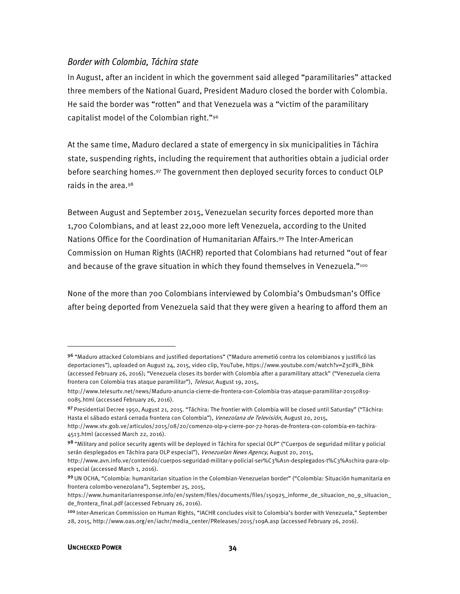#### Border with Colombia, Táchira state

In August, after an incident in which the government said alleged "paramilitaries" attacked three members of the National Guard, President Maduro closed the border with Colombia. He said the border was "rotten" and that Venezuela was a "victim of the paramilitary capitalist model of the Colombian right."96

At the same time, Maduro declared a state of emergency in six municipalities in Táchira state, suspending rights, including the requirement that authorities obtain a judicial order before searching homes.97 The government then deployed security forces to conduct OLP raids in the area.98

Between August and September 2015, Venezuelan security forces deported more than 1,700 Colombians, and at least 22,000 more left Venezuela, according to the United Nations Office for the Coordination of Humanitarian Affairs.99 The Inter-American Commission on Human Rights (IACHR) reported that Colombians had returned "out of fear and because of the grave situation in which they found themselves in Venezuela."<sup>100</sup>

None of the more than 700 Colombians interviewed by Colombia's Ombudsman's Office after being deported from Venezuela said that they were given a hearing to afford them an

**.** 

<sup>96</sup> "Maduro attacked Colombians and justified deportations" ("Maduro arremetió contra los colombianos y justificó las deportaciones"), uploaded on August 24, 2015, video clip, YouTube, https://www.youtube.com/watch?v=Z3cIFk\_Bihk (accessed February 26, 2016); "Venezuela closes its border with Colombia after a paramilitary attack" ("Venezuela cierra frontera con Colombia tras ataque paramilitar"), Telesur, August 19, 2015,

http://www.telesurtv.net/news/Maduro-anuncia-cierre-de-frontera-con-Colombia-tras-ataque-paramilitar-20150819- 0085.html (accessed February 26, 2016).

<sup>97</sup> Presidential Decree 1950, August 21, 2015. "Táchira: The frontier with Colombia will be closed until Saturday" ("Táchira: Hasta el sábado estará cerrada frontera con Colombia"), Venezolana de Televisión, August 20, 2015,

http://www.vtv.gob.ve/articulos/2015/08/20/comenzo-olp-y-cierre-por-72-horas-de-frontera-con-colombia-en-tachira-4513.html (accessed March 22, 2016).

<sup>98 &</sup>quot;Military and police security agents will be deployed in Táchira for special OLP" ("Cuerpos de seguridad militar y policial serán desplegados en Táchira para OLP especial"), Venezuelan News Agency, August 20, 2015,

http://www.avn.info.ve/contenido/cuerpos-seguridad-militar-y-policial-ser%C3%A1n-desplegados-t%C3%A1chira-para-olpespecial (accessed March 1, 2016).

<sup>99</sup>UN OCHA, "Colombia: humanitarian situation in the Colombian-Venezuelan border" ("Colombia: Situación humanitaria en frontera colombo-venezolana"), September 25, 2015,

https://www.humanitarianresponse.info/en/system/files/documents/files/150925\_informe\_de\_situacion\_no\_9\_situacion\_ de\_frontera\_final.pdf (accessed February 26, 2016).

<sup>&</sup>lt;sup>100</sup> Inter-American Commission on Human Rights, "IACHR concludes visit to Colombia's border with Venezuela," September 28, 2015, http://www.oas.org/en/iachr/media\_center/PReleases/2015/109A.asp (accessed February 26, 2016).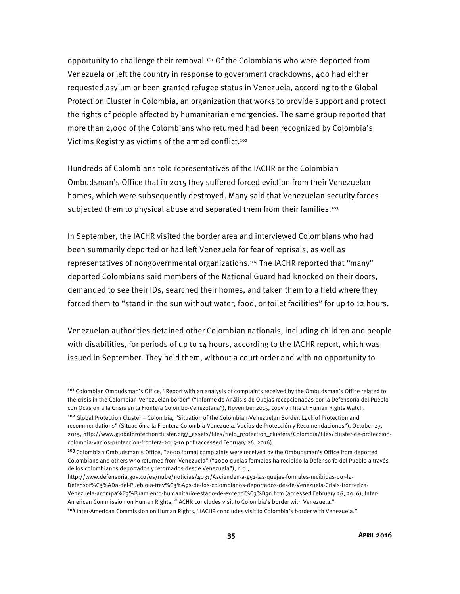opportunity to challenge their removal.101 Of the Colombians who were deported from Venezuela or left the country in response to government crackdowns, 400 had either requested asylum or been granted refugee status in Venezuela, according to the Global Protection Cluster in Colombia, an organization that works to provide support and protect the rights of people affected by humanitarian emergencies. The same group reported that more than 2,000 of the Colombians who returned had been recognized by Colombia's Victims Registry as victims of the armed conflict.<sup>102</sup>

Hundreds of Colombians told representatives of the IACHR or the Colombian Ombudsman's Office that in 2015 they suffered forced eviction from their Venezuelan homes, which were subsequently destroyed. Many said that Venezuelan security forces subjected them to physical abuse and separated them from their families.<sup>103</sup>

In September, the IACHR visited the border area and interviewed Colombians who had been summarily deported or had left Venezuela for fear of reprisals, as well as representatives of nongovernmental organizations.104 The IACHR reported that "many" deported Colombians said members of the National Guard had knocked on their doors, demanded to see their IDs, searched their homes, and taken them to a field where they forced them to "stand in the sun without water, food, or toilet facilities" for up to 12 hours.

Venezuelan authorities detained other Colombian nationals, including children and people with disabilities, for periods of up to 14 hours, according to the IACHR report, which was issued in September. They held them, without a court order and with no opportunity to

 $\overline{a}$ 

<sup>101</sup> Colombian Ombudsman's Office, "Report with an analysis of complaints received by the Ombudsman's Office related to the crisis in the Colombian-Venezuelan border" ("Informe de Análisis de Quejas recepcionadas por la Defensoría del Pueblo con Ocasión a la Crisis en la Frontera Colombo-Venezolana"), November 2015, copy on file at Human Rights Watch. <sup>102</sup>Global Protection Cluster – Colombia, "Situation of the Colombian-Venezuelan Border. Lack of Protection and recommendations" (Situación a la Frontera Colombia-Venezuela. Vacíos de Protección y Recomendaciones"), October 23, 2015, http://www.globalprotectioncluster.org/\_assets/files/field\_protection\_clusters/Colombia/files/cluster-de-proteccioncolombia-vacios-proteccion-frontera-2015-10.pdf (accessed February 26, 2016).

<sup>&</sup>lt;sup>103</sup> Colombian Ombudsman's Office, "2000 formal complaints were received by the Ombudsman's Office from deported Colombians and others who returned from Venezuela" ("2000 quejas formales ha recibido la Defensoría del Pueblo a través de los colombianos deportados y retornados desde Venezuela"), n.d.,

http://www.defensoria.gov.co/es/nube/noticias/4031/Ascienden-a-451-las-quejas-formales-recibidas-por-la-Defensor%C3%ADa-del-Pueblo-a-trav%C3%A9s-de-los-colombianos-deportados-desde-Venezuela-Crisis-fronteriza-Venezuela-acompa%C3%B1amiento-humanitario-estado-de-excepci%C3%B3n.htm (accessed February 26, 2016); Inter-American Commission on Human Rights, "IACHR concludes visit to Colombia's border with Venezuela."

<sup>104</sup> Inter-American Commission on Human Rights, "IACHR concludes visit to Colombia's border with Venezuela."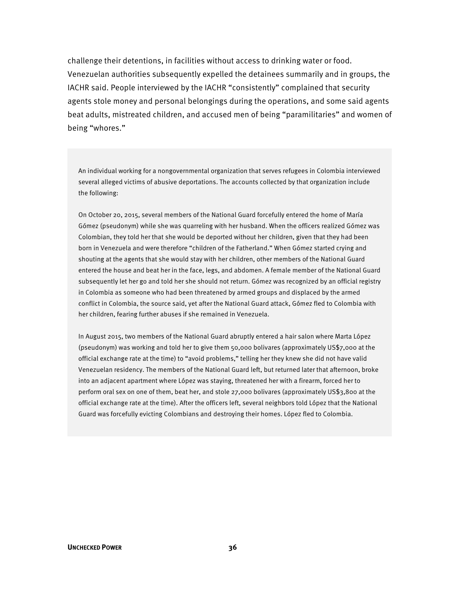challenge their detentions, in facilities without access to drinking water or food. Venezuelan authorities subsequently expelled the detainees summarily and in groups, the IACHR said. People interviewed by the IACHR "consistently" complained that security agents stole money and personal belongings during the operations, and some said agents beat adults, mistreated children, and accused men of being "paramilitaries" and women of being "whores."

An individual working for a nongovernmental organization that serves refugees in Colombia interviewed several alleged victims of abusive deportations. The accounts collected by that organization include the following:

On October 20, 2015, several members of the National Guard forcefully entered the home of María Gómez (pseudonym) while she was quarreling with her husband. When the officers realized Gómez was Colombian, they told her that she would be deported without her children, given that they had been born in Venezuela and were therefore "children of the Fatherland." When Gómez started crying and shouting at the agents that she would stay with her children, other members of the National Guard entered the house and beat her in the face, legs, and abdomen. A female member of the National Guard subsequently let her go and told her she should not return. Gómez was recognized by an official registry in Colombia as someone who had been threatened by armed groups and displaced by the armed conflict in Colombia, the source said, yet after the National Guard attack, Gómez fled to Colombia with her children, fearing further abuses if she remained in Venezuela.

In August 2015, two members of the National Guard abruptly entered a hair salon where Marta López (pseudonym) was working and told her to give them 50,000 bolivares (approximately US\$7,000 at the official exchange rate at the time) to "avoid problems," telling her they knew she did not have valid Venezuelan residency. The members of the National Guard left, but returned later that afternoon, broke into an adjacent apartment where López was staying, threatened her with a firearm, forced her to perform oral sex on one of them, beat her, and stole 27,000 bolivares (approximately US\$3,800 at the official exchange rate at the time). After the officers left, several neighbors told López that the National Guard was forcefully evicting Colombians and destroying their homes. López fled to Colombia.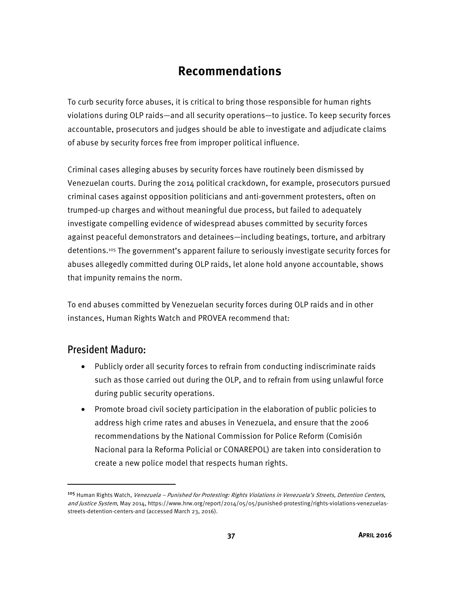## **Recommendations**

To curb security force abuses, it is critical to bring those responsible for human rights violations during OLP raids—and all security operations—to justice. To keep security forces accountable, prosecutors and judges should be able to investigate and adjudicate claims of abuse by security forces free from improper political influence.

Criminal cases alleging abuses by security forces have routinely been dismissed by Venezuelan courts. During the 2014 political crackdown, for example, prosecutors pursued criminal cases against opposition politicians and anti-government protesters, often on trumped-up charges and without meaningful due process, but failed to adequately investigate compelling evidence of widespread abuses committed by security forces against peaceful demonstrators and detainees—including beatings, torture, and arbitrary detentions.105 The government's apparent failure to seriously investigate security forces for abuses allegedly committed during OLP raids, let alone hold anyone accountable, shows that impunity remains the norm.

To end abuses committed by Venezuelan security forces during OLP raids and in other instances, Human Rights Watch and PROVEA recommend that:

## President Maduro:

- Publicly order all security forces to refrain from conducting indiscriminate raids such as those carried out during the OLP, and to refrain from using unlawful force during public security operations.
- Promote broad civil society participation in the elaboration of public policies to address high crime rates and abuses in Venezuela, and ensure that the 2006 recommendations by the National Commission for Police Reform (Comisión Nacional para la Reforma Policial or CONAREPOL) are taken into consideration to create a new police model that respects human rights.

<sup>105</sup> Human Rights Watch, Venezuela - Punished for Protesting: Rights Violations in Venezuela's Streets, Detention Centers, and Justice System, May 2014, https://www.hrw.org/report/2014/05/05/punished-protesting/rights-violations-venezuelasstreets-detention-centers-and (accessed March 23, 2016).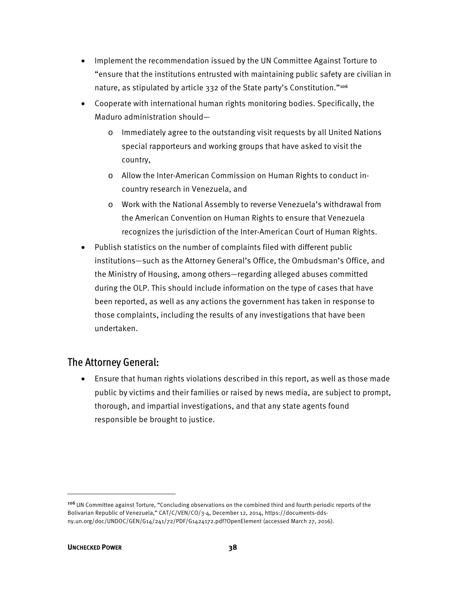- Implement the recommendation issued by the UN Committee Against Torture to "ensure that the institutions entrusted with maintaining public safety are civilian in nature, as stipulated by article 332 of the State party's Constitution."<sup>106</sup>
- Cooperate with international human rights monitoring bodies. Specifically, the Maduro administration should
	- o Immediately agree to the outstanding visit requests by all United Nations special rapporteurs and working groups that have asked to visit the country,
	- o Allow the Inter-American Commission on Human Rights to conduct incountry research in Venezuela, and
	- o Work with the National Assembly to reverse Venezuela's withdrawal from the American Convention on Human Rights to ensure that Venezuela recognizes the jurisdiction of the Inter-American Court of Human Rights.
- Publish statistics on the number of complaints filed with different public institutions—such as the Attorney General's Office, the Ombudsman's Office, and the Ministry of Housing, among others—regarding alleged abuses committed during the OLP. This should include information on the type of cases that have been reported, as well as any actions the government has taken in response to those complaints, including the results of any investigations that have been undertaken.

## The Attorney General:

• Ensure that human rights violations described in this report, as well as those made public by victims and their families or raised by news media, are subject to prompt, thorough, and impartial investigations, and that any state agents found responsible be brought to justice.

<sup>106</sup> UN Committee against Torture, "Concluding observations on the combined third and fourth periodic reports of the Bolivarian Republic of Venezuela," CAT/C/VEN/CO/3-4, December 12, 2014, https://documents-ddsny.un.org/doc/UNDOC/GEN/G14/241/72/PDF/G1424172.pdf?OpenElement (accessed March 27, 2016).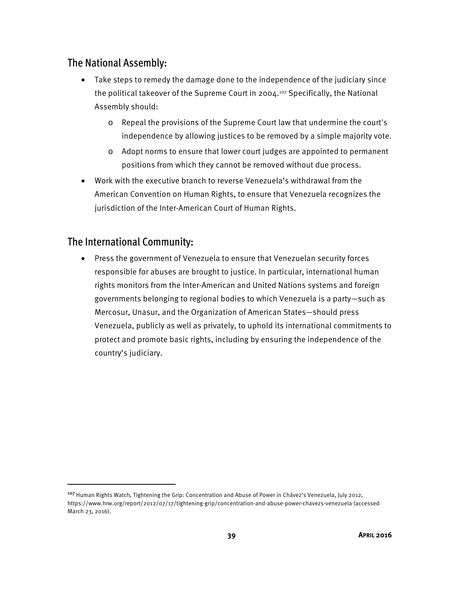## The National Assembly:

- Take steps to remedy the damage done to the independence of the judiciary since the political takeover of the Supreme Court in 2004.107 Specifically, the National Assembly should:
	- o Repeal the provisions of the Supreme Court law that undermine the court's independence by allowing justices to be removed by a simple majority vote.
	- o Adopt norms to ensure that lower court judges are appointed to permanent positions from which they cannot be removed without due process.
- Work with the executive branch to reverse Venezuela's withdrawal from the American Convention on Human Rights, to ensure that Venezuela recognizes the jurisdiction of the Inter-American Court of Human Rights.

## The International Community:

<u>.</u>

• Press the government of Venezuela to ensure that Venezuelan security forces responsible for abuses are brought to justice. In particular, international human rights monitors from the Inter-American and United Nations systems and foreign governments belonging to regional bodies to which Venezuela is a party—such as Mercosur, Unasur, and the Organization of American States—should press Venezuela, publicly as well as privately, to uphold its international commitments to protect and promote basic rights, including by ensuring the independence of the country's judiciary.

<sup>&</sup>lt;sup>107</sup> Human Rights Watch, Tightening the Grip: Concentration and Abuse of Power in Chávez's Venezuela, July 2012, https://www.hrw.org/report/2012/07/17/tightening-grip/concentration-and-abuse-power-chavezs-venezuela (accessed March 23, 2016).